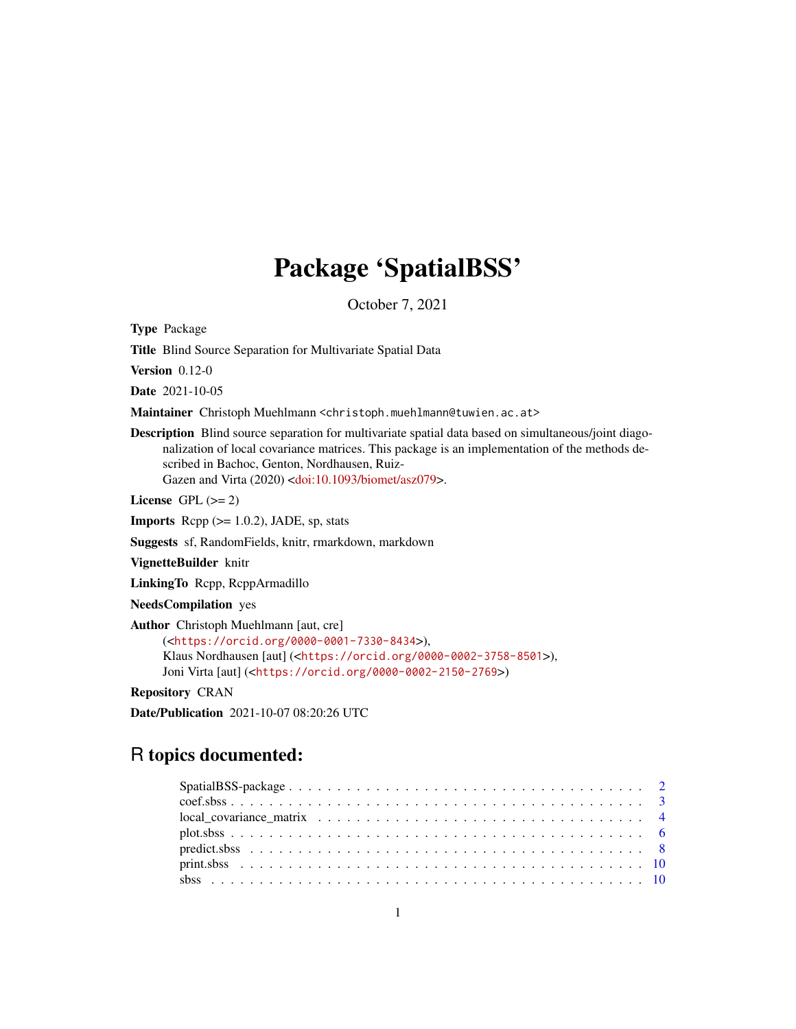## Package 'SpatialBSS'

October 7, 2021

<span id="page-0-0"></span>Type Package

Title Blind Source Separation for Multivariate Spatial Data

Version 0.12-0

Date 2021-10-05

Maintainer Christoph Muehlmann <christoph.muehlmann@tuwien.ac.at>

Description Blind source separation for multivariate spatial data based on simultaneous/joint diagonalization of local covariance matrices. This package is an implementation of the methods described in Bachoc, Genton, Nordhausen, Ruiz-Gazen and Virta (2020) [<doi:10.1093/biomet/asz079>](https://doi.org/10.1093/biomet/asz079).

License GPL  $(>= 2)$ 

**Imports** Rcpp  $(>= 1.0.2)$ , JADE, sp, stats

Suggests sf, RandomFields, knitr, rmarkdown, markdown

VignetteBuilder knitr

LinkingTo Rcpp, RcppArmadillo

NeedsCompilation yes

Author Christoph Muehlmann [aut, cre] (<<https://orcid.org/0000-0001-7330-8434>>), Klaus Nordhausen [aut] (<<https://orcid.org/0000-0002-3758-8501>>), Joni Virta [aut] (<<https://orcid.org/0000-0002-2150-2769>>)

Repository CRAN

Date/Publication 2021-10-07 08:20:26 UTC

## R topics documented: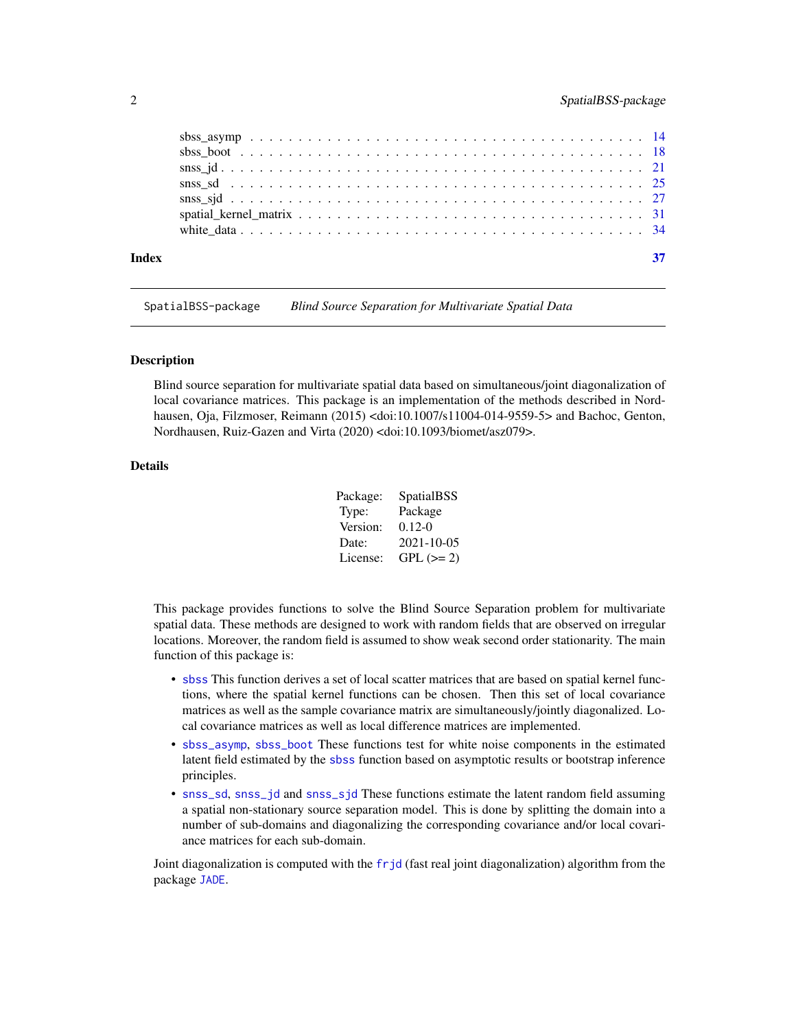<span id="page-1-0"></span>

| Index |  |
|-------|--|
|       |  |
|       |  |
|       |  |
|       |  |
|       |  |
|       |  |
|       |  |
|       |  |

SpatialBSS-package *Blind Source Separation for Multivariate Spatial Data*

#### Description

Blind source separation for multivariate spatial data based on simultaneous/joint diagonalization of local covariance matrices. This package is an implementation of the methods described in Nordhausen, Oja, Filzmoser, Reimann (2015) <doi:10.1007/s11004-014-9559-5> and Bachoc, Genton, Nordhausen, Ruiz-Gazen and Virta (2020) <doi:10.1093/biomet/asz079>.

## Details

| Package: | SpatialBSS  |
|----------|-------------|
| Type:    | Package     |
| Version: | $0.12 - 0$  |
| Date:    | 2021-10-05  |
| License: | $GPL (= 2)$ |

This package provides functions to solve the Blind Source Separation problem for multivariate spatial data. These methods are designed to work with random fields that are observed on irregular locations. Moreover, the random field is assumed to show weak second order stationarity. The main function of this package is:

- [sbss](#page-9-1) This function derives a set of local scatter matrices that are based on spatial kernel functions, where the spatial kernel functions can be chosen. Then this set of local covariance matrices as well as the sample covariance matrix are simultaneously/jointly diagonalized. Local covariance matrices as well as local difference matrices are implemented.
- [sbss\\_asymp](#page-13-1), [sbss\\_boot](#page-17-1) These functions test for white noise components in the estimated latent field estimated by the [sbss](#page-9-1) function based on asymptotic results or bootstrap inference principles.
- [snss\\_sd](#page-24-1), [snss\\_jd](#page-20-1) and [snss\\_sjd](#page-26-1) These functions estimate the latent random field assuming a spatial non-stationary source separation model. This is done by splitting the domain into a number of sub-domains and diagonalizing the corresponding covariance and/or local covariance matrices for each sub-domain.

Joint diagonalization is computed with the [frjd](#page-0-0) (fast real joint diagonalization) algorithm from the package [JADE](#page-0-0).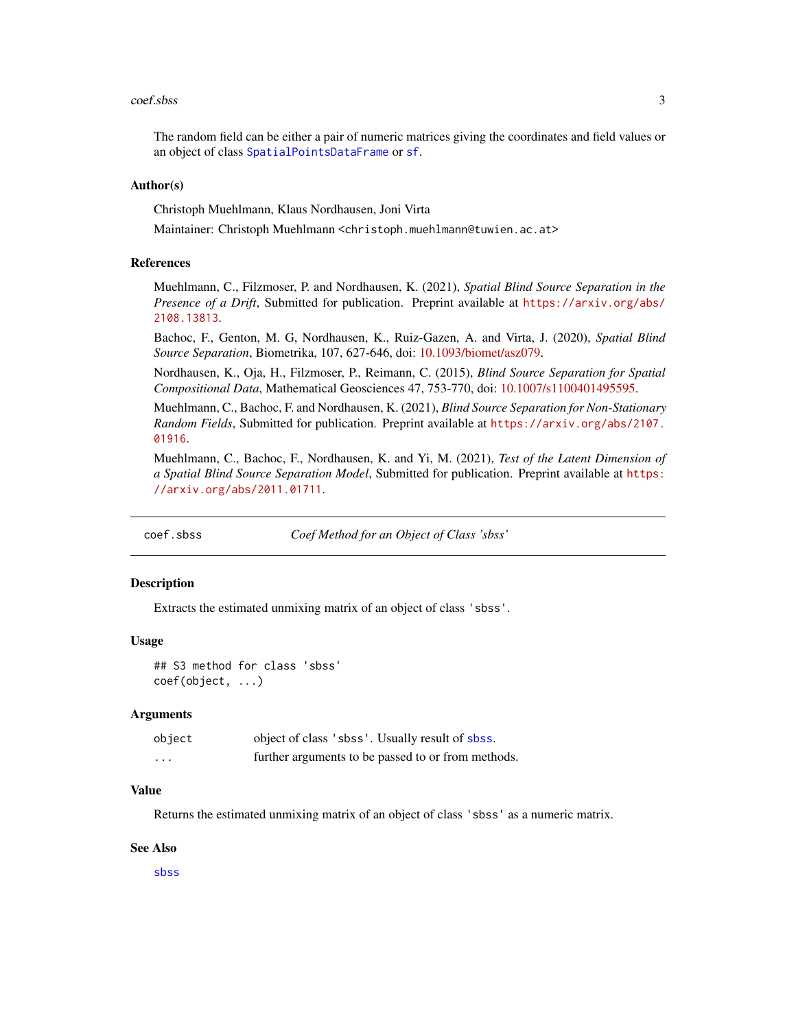#### <span id="page-2-0"></span>coef.sbss 3

The random field can be either a pair of numeric matrices giving the coordinates and field values or an object of class [SpatialPointsDataFrame](#page-0-0) or [sf](#page-0-0).

## Author(s)

Christoph Muehlmann, Klaus Nordhausen, Joni Virta

Maintainer: Christoph Muehlmann <christoph.muehlmann@tuwien.ac.at>

## References

Muehlmann, C., Filzmoser, P. and Nordhausen, K. (2021), *Spatial Blind Source Separation in the Presence of a Drift*, Submitted for publication. Preprint available at [https://arxiv.org/abs/](https://arxiv.org/abs/2108.13813) [2108.13813](https://arxiv.org/abs/2108.13813).

Bachoc, F., Genton, M. G, Nordhausen, K., Ruiz-Gazen, A. and Virta, J. (2020), *Spatial Blind Source Separation*, Biometrika, 107, 627-646, doi: [10.1093/biomet/asz079.](https://doi.org/10.1093/biomet/asz079)

Nordhausen, K., Oja, H., Filzmoser, P., Reimann, C. (2015), *Blind Source Separation for Spatial Compositional Data*, Mathematical Geosciences 47, 753-770, doi: [10.1007/s1100401495595.](https://doi.org/10.1007/s11004-014-9559-5)

Muehlmann, C., Bachoc, F. and Nordhausen, K. (2021), *Blind Source Separation for Non-Stationary Random Fields*, Submitted for publication. Preprint available at [https://arxiv.org/abs/2107.](https://arxiv.org/abs/2107.01916) [01916](https://arxiv.org/abs/2107.01916).

Muehlmann, C., Bachoc, F., Nordhausen, K. and Yi, M. (2021), *Test of the Latent Dimension of a Spatial Blind Source Separation Model*, Submitted for publication. Preprint available at [https:](https://arxiv.org/abs/2011.01711) [//arxiv.org/abs/2011.01711](https://arxiv.org/abs/2011.01711).

coef.sbss *Coef Method for an Object of Class 'sbss'*

## **Description**

Extracts the estimated unmixing matrix of an object of class 'sbss'.

## Usage

## S3 method for class 'sbss' coef(object, ...)

## Arguments

| object   | object of class 'sbss'. Usually result of sbss.    |
|----------|----------------------------------------------------|
| $\cdots$ | further arguments to be passed to or from methods. |

#### Value

Returns the estimated unmixing matrix of an object of class 'sbss' as a numeric matrix.

## See Also

[sbss](#page-9-1)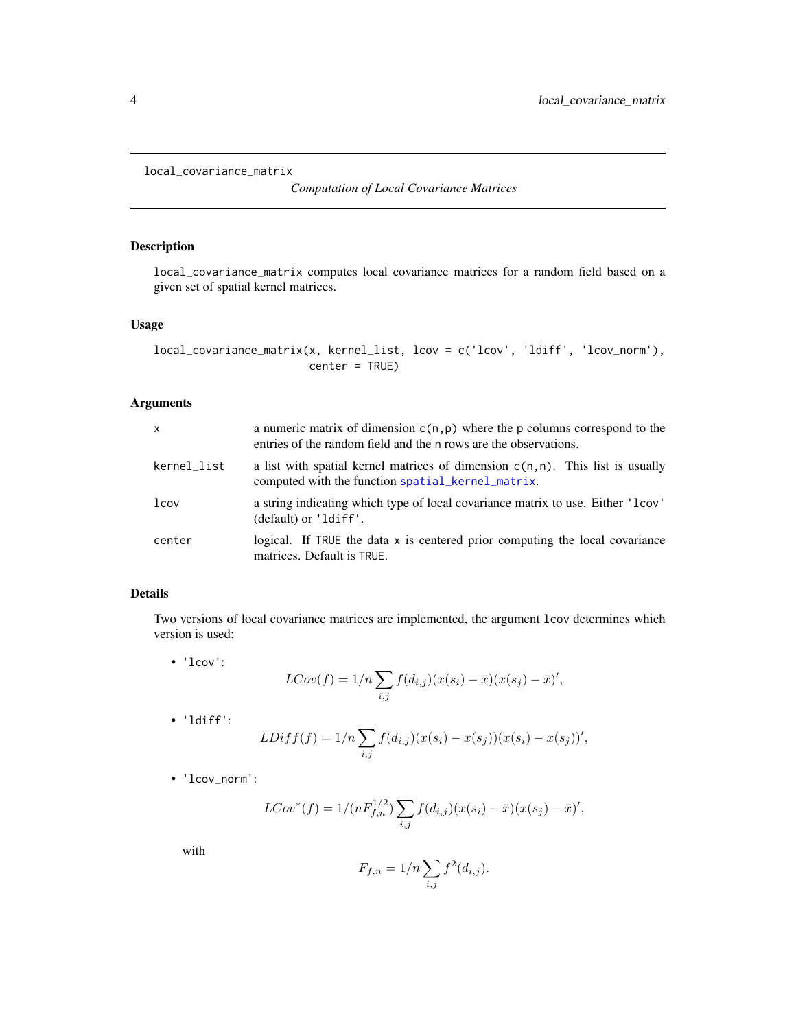```
local_covariance_matrix
```
*Computation of Local Covariance Matrices*

## Description

local\_covariance\_matrix computes local covariance matrices for a random field based on a given set of spatial kernel matrices.

## Usage

```
local_covariance_matrix(x, kernel_list, lcov = c('lcov', 'ldiff', 'lcov_norm'),
                        center = TRUE)
```
## Arguments

| X           | a numeric matrix of dimension $c(n, p)$ where the p columns correspond to the<br>entries of the random field and the n rows are the observations. |
|-------------|---------------------------------------------------------------------------------------------------------------------------------------------------|
| kernel_list | a list with spatial kernel matrices of dimension $c(n,n)$ . This list is usually<br>computed with the function spatial kernel matrix.             |
| lcov        | a string indicating which type of local covariance matrix to use. Either '1cov'<br>$(default)$ or $'ldiff'.$                                      |
| center      | logical. If TRUE the data x is centered prior computing the local covariance<br>matrices. Default is TRUE.                                        |

## Details

Two versions of local covariance matrices are implemented, the argument lcov determines which version is used:

• 'lcov':

$$
LCov(f) = 1/n \sum_{i,j} f(d_{i,j})(x(s_i) - \bar{x})(x(s_j) - \bar{x})',
$$

• 'ldiff':

$$
LDiff(f) = 1/n \sum_{i,j} f(d_{i,j})(x(s_i) - x(s_j))(x(s_i) - x(s_j))'
$$

• 'lcov\_norm':

$$
LCov^{*}(f) = 1/(nF_{f,n}^{1/2}) \sum_{i,j} f(d_{i,j})(x(s_i) - \bar{x})(x(s_j) - \bar{x})',
$$

with

$$
F_{f,n} = 1/n \sum_{i,j} f^2(d_{i,j}).
$$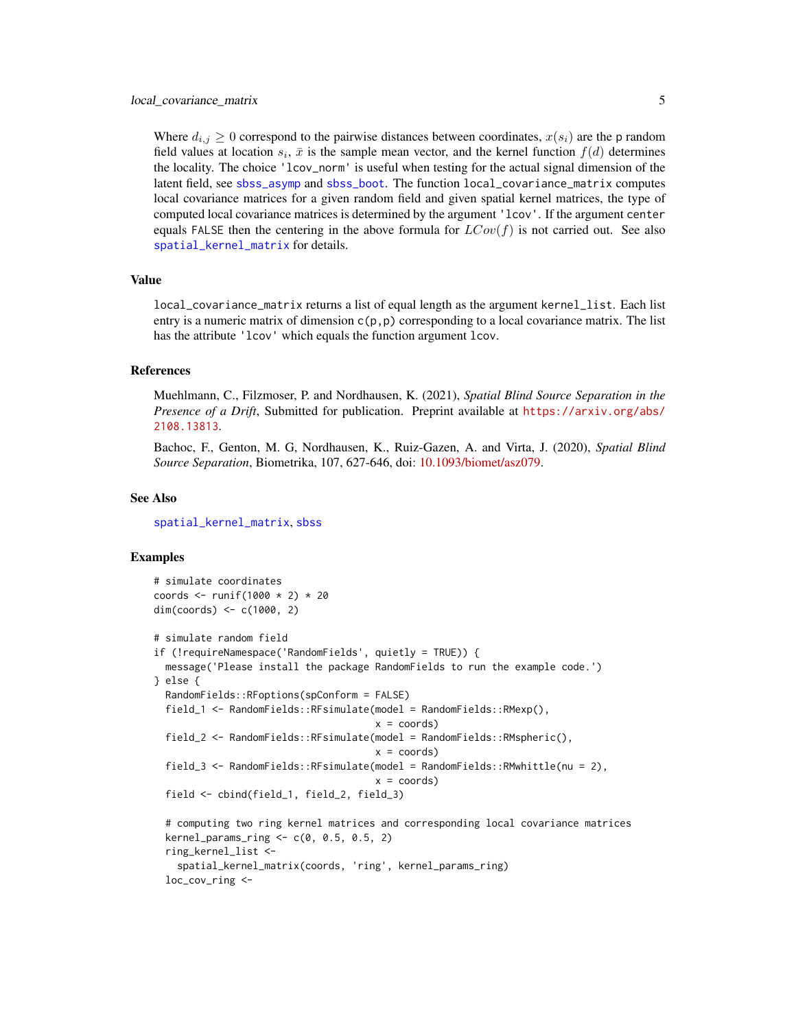<span id="page-4-0"></span>Where  $d_{i,j} \ge 0$  correspond to the pairwise distances between coordinates,  $x(s_i)$  are the p random field values at location  $s_i$ ,  $\bar{x}$  is the sample mean vector, and the kernel function  $f(d)$  determines the locality. The choice 'lcov\_norm' is useful when testing for the actual signal dimension of the latent field, see [sbss\\_asymp](#page-13-1) and [sbss\\_boot](#page-17-1). The function local\_covariance\_matrix computes local covariance matrices for a given random field and given spatial kernel matrices, the type of computed local covariance matrices is determined by the argument 'lcov'. If the argument center equals FALSE then the centering in the above formula for  $LCov(f)$  is not carried out. See also [spatial\\_kernel\\_matrix](#page-30-1) for details.

## Value

local\_covariance\_matrix returns a list of equal length as the argument kernel\_list. Each list entry is a numeric matrix of dimension  $c(p, p)$  corresponding to a local covariance matrix. The list has the attribute 'lcov' which equals the function argument lcov.

## References

Muehlmann, C., Filzmoser, P. and Nordhausen, K. (2021), *Spatial Blind Source Separation in the Presence of a Drift*, Submitted for publication. Preprint available at [https://arxiv.org/abs/](https://arxiv.org/abs/2108.13813) [2108.13813](https://arxiv.org/abs/2108.13813).

Bachoc, F., Genton, M. G, Nordhausen, K., Ruiz-Gazen, A. and Virta, J. (2020), *Spatial Blind Source Separation*, Biometrika, 107, 627-646, doi: [10.1093/biomet/asz079.](https://doi.org/10.1093/biomet/asz079)

#### See Also

[spatial\\_kernel\\_matrix](#page-30-1), [sbss](#page-9-1)

```
# simulate coordinates
coords <- runif(1000 * 2) * 20
dim(coords) <- c(1000, 2)
# simulate random field
if (!requireNamespace('RandomFields', quietly = TRUE)) {
 message('Please install the package RandomFields to run the example code.')
} else {
 RandomFields::RFoptions(spConform = FALSE)
 field_1 <- RandomFields::RFsimulate(model = RandomFields::RMexp(),
                                      x = coords)
 field_2 <- RandomFields::RFsimulate(model = RandomFields::RMspheric(),
                                      x = coords)
 field_3 <- RandomFields::RFsimulate(model = RandomFields::RMwhittle(nu = 2),
                                      x = coords)
 field <- cbind(field_1, field_2, field_3)
 # computing two ring kernel matrices and corresponding local covariance matrices
 kernel_params_ring <- c(0, 0.5, 0.5, 2)
 ring_kernel_list <-
   spatial_kernel_matrix(coords, 'ring', kernel_params_ring)
 loc_cov_ring <-
```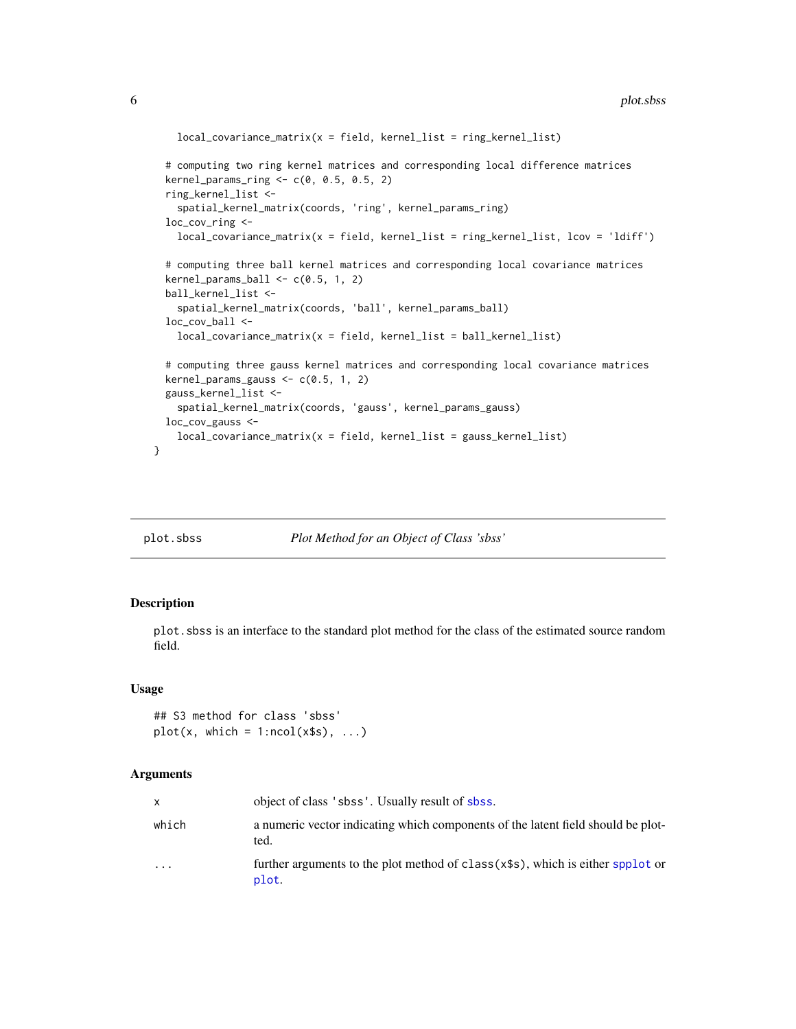```
local\_covariance\_matrix(x = field, kernel\_list = ring\_kernel\_list)# computing two ring kernel matrices and corresponding local difference matrices
kernel_params_ring <- c(0, 0.5, 0.5, 2)
ring_kernel_list <-
  spatial_kernel_matrix(coords, 'ring', kernel_params_ring)
loc_cov_ring <-
  local_covariance_matrix(x = field, kernel_list = ring_kernel_list, lcov = 'ldiff')
# computing three ball kernel matrices and corresponding local covariance matrices
kernel_params_ball <- c(0.5, 1, 2)
ball_kernel_list <-
  spatial_kernel_matrix(coords, 'ball', kernel_params_ball)
loc_cov_ball <-
  local_covariance_matrix(x = field, kernel_list = ball_kernel_list)
# computing three gauss kernel matrices and corresponding local covariance matrices
kernel_params_gauss <- c(0.5, 1, 2)
gauss_kernel_list <-
  spatial_kernel_matrix(coords, 'gauss', kernel_params_gauss)
loc_cov_gauss <-
  local\_covariance_matrix(x = field, Kernel_list = gauss_kernel_list)
```
<span id="page-5-1"></span>

}

plot.sbss *Plot Method for an Object of Class 'sbss'*

## Description

plot.sbss is an interface to the standard plot method for the class of the estimated source random field.

## Usage

```
## S3 method for class 'sbss'
plot(x, which = 1:ncol(x$s), ...)
```
#### Arguments

| X                       | object of class 'sbss'. Usually result of sbss.                                          |
|-------------------------|------------------------------------------------------------------------------------------|
| which                   | a numeric vector indicating which components of the latent field should be plot-<br>ted. |
| $\cdot$ $\cdot$ $\cdot$ | further arguments to the plot method of class(x\$s), which is either spplot or<br>plot.  |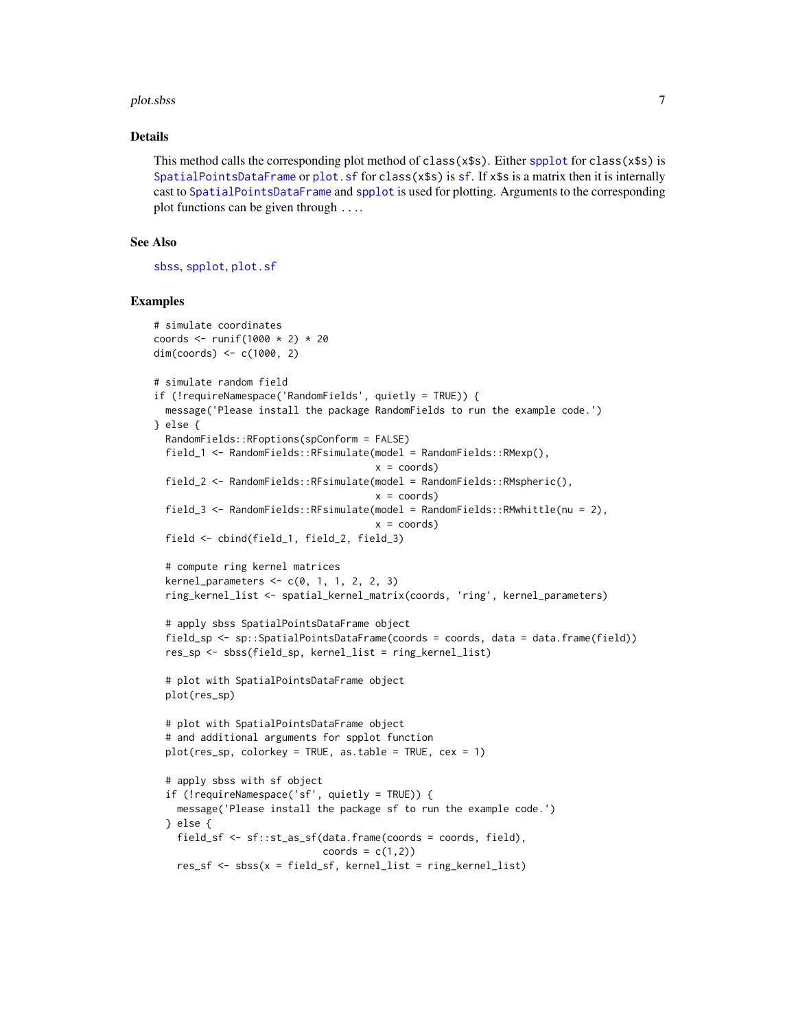#### <span id="page-6-0"></span>plot.sbss 7

## Details

This method calls the corresponding plot method of class( $x$ \$s). Either [spplot](#page-0-0) for class( $x$ \$s) is [SpatialPointsDataFrame](#page-0-0) or [plot.sf](#page-0-0) for class( $x$ \$s) is [sf](#page-0-0). If  $x$ \$s is a matrix then it is internally cast to [SpatialPointsDataFrame](#page-0-0) and [spplot](#page-0-0) is used for plotting. Arguments to the corresponding plot functions can be given through ....

## See Also

[sbss](#page-9-1), [spplot](#page-0-0), [plot.sf](#page-0-0)

```
# simulate coordinates
coords <- runif(1000 * 2) * 20
dim(coords) <- c(1000, 2)
# simulate random field
if (!requireNamespace('RandomFields', quietly = TRUE)) {
 message('Please install the package RandomFields to run the example code.')
} else {
 RandomFields::RFoptions(spConform = FALSE)
 field_1 <- RandomFields::RFsimulate(model = RandomFields::RMexp(),
                                      x = constfield_2 <- RandomFields::RFsimulate(model = RandomFields::RMspheric(),
                                      x = coords)
 field_3 <- RandomFields::RFsimulate(model = RandomFields::RMwhittle(nu = 2),
                                      x = coords)
 field <- cbind(field_1, field_2, field_3)
 # compute ring kernel matrices
 kernel_parameters \leq c(0, 1, 1, 2, 2, 3)ring_kernel_list <- spatial_kernel_matrix(coords, 'ring', kernel_parameters)
 # apply sbss SpatialPointsDataFrame object
 field_sp <- sp::SpatialPointsDataFrame(coords = coords, data = data.frame(field))
 res_sp <- sbss(field_sp, kernel_list = ring_kernel_list)
 # plot with SpatialPointsDataFrame object
 plot(res_sp)
 # plot with SpatialPointsDataFrame object
  # and additional arguments for spplot function
 plot(res_sp, colorkey = TRUE, as.table = TRUE, cex = 1)
 # apply sbss with sf object
 if (!requireNamespace('sf', quietly = TRUE)) {
   message('Please install the package sf to run the example code.')
 } else {
   field_sf <- sf::st_as_sf(data.frame(coords = coords, field),
                             coords = c(1,2))
    res_sf <- sbss(x = field_sf, kernel_list = ring_kernel_list)
```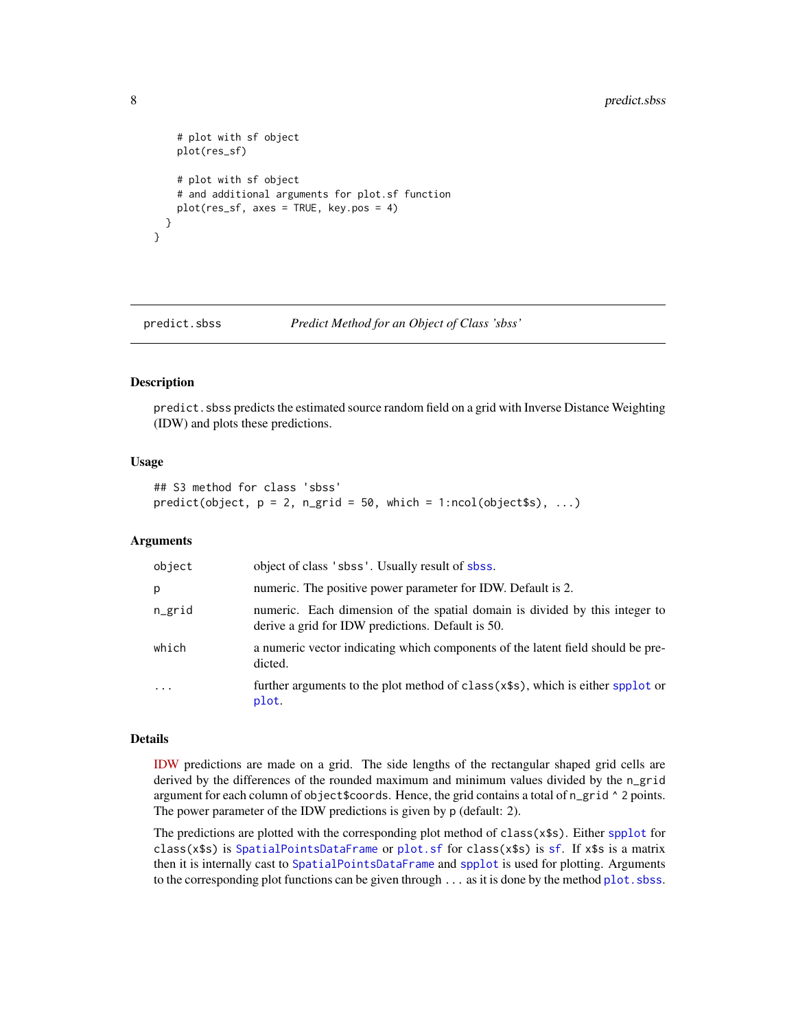```
# plot with sf object
   plot(res_sf)
    # plot with sf object
    # and additional arguments for plot.sf function
   plot(res_sf, axes = TRUE, key.pos = 4)
 }
}
```
predict.sbss *Predict Method for an Object of Class 'sbss'*

#### Description

predict.sbss predicts the estimated source random field on a grid with Inverse Distance Weighting (IDW) and plots these predictions.

#### Usage

```
## S3 method for class 'sbss'
predict(object, p = 2, n_grid = 50, which = 1:ncol(object$s), ...)
```
#### Arguments

| object   | object of class 'sbss'. Usually result of sbss.                                                                                  |
|----------|----------------------------------------------------------------------------------------------------------------------------------|
| р        | numeric. The positive power parameter for IDW. Default is 2.                                                                     |
| n_grid   | numeric. Each dimension of the spatial domain is divided by this integer to<br>derive a grid for IDW predictions. Default is 50. |
| which    | a numeric vector indicating which components of the latent field should be pre-<br>dicted.                                       |
| $\cdots$ | further arguments to the plot method of $class(x$ \$s), which is either spplot or<br>plot.                                       |

## Details

[IDW](https://en.wikipedia.org/wiki/Inverse_distance_weighting) predictions are made on a grid. The side lengths of the rectangular shaped grid cells are derived by the differences of the rounded maximum and minimum values divided by the n\_grid argument for each column of object\$coords. Hence, the grid contains a total of n\_grid ^ 2 points. The power parameter of the IDW predictions is given by p (default: 2).

The predictions are plotted with the corresponding plot method of class(x\$s). Either [spplot](#page-0-0) for class(x\$s) is [SpatialPointsDataFrame](#page-0-0) or [plot.sf](#page-0-0) for class(x\$s) is [sf](#page-0-0). If x\$s is a matrix then it is internally cast to [SpatialPointsDataFrame](#page-0-0) and [spplot](#page-0-0) is used for plotting. Arguments to the corresponding plot functions can be given through  $\dots$  as it is done by the method plot. sbss.

<span id="page-7-0"></span>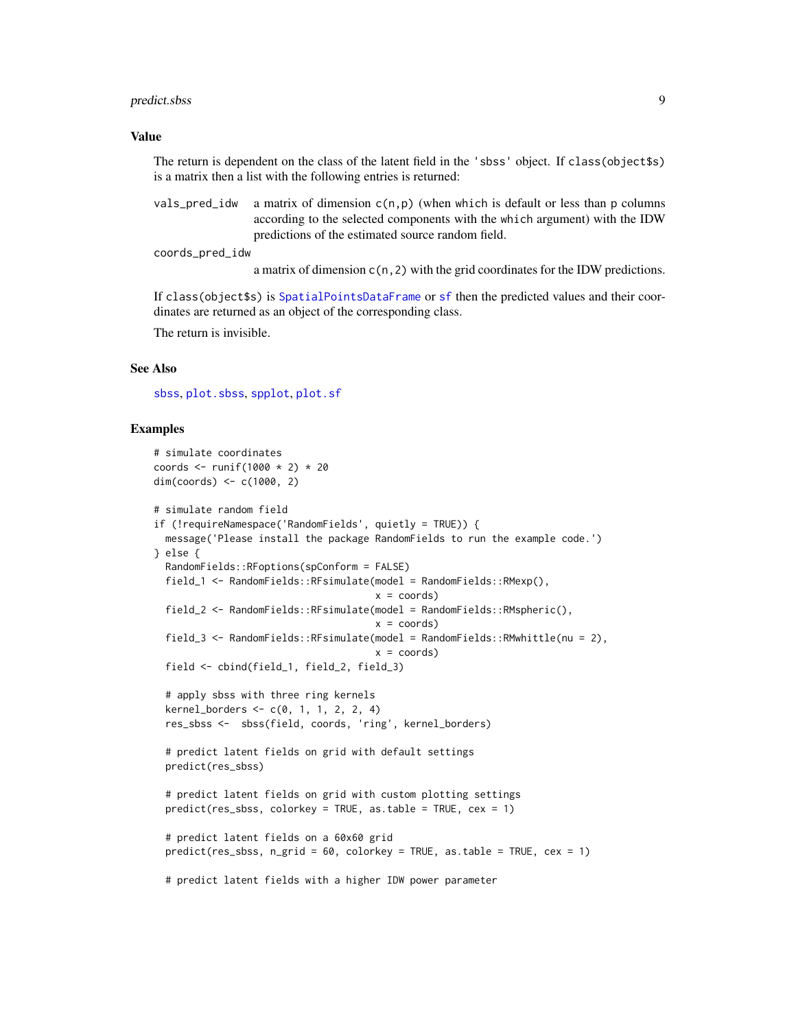## <span id="page-8-0"></span>predict.sbss 9

## Value

The return is dependent on the class of the latent field in the 'sbss' object. If class(object\$s) is a matrix then a list with the following entries is returned:

vals\_pred\_idw a matrix of dimension  $c(n, p)$  (when which is default or less than p columns according to the selected components with the which argument) with the IDW predictions of the estimated source random field.

coords\_pred\_idw

a matrix of dimension  $c(n, 2)$  with the grid coordinates for the IDW predictions.

If class(object\$s) is [SpatialPointsDataFrame](#page-0-0) or [sf](#page-0-0) then the predicted values and their coordinates are returned as an object of the corresponding class.

The return is invisible.

## See Also

[sbss](#page-9-1), [plot.sbss](#page-5-1), [spplot](#page-0-0), [plot.sf](#page-0-0)

```
# simulate coordinates
coords <- runif(1000 * 2) * 20
dim(coords) <- c(1000, 2)
# simulate random field
if (!requireNamespace('RandomFields', quietly = TRUE)) {
 message('Please install the package RandomFields to run the example code.')
} else {
 RandomFields::RFoptions(spConform = FALSE)
 field_1 <- RandomFields::RFsimulate(model = RandomFields::RMexp(),
                                      x = coords)
 field_2 <- RandomFields::RFsimulate(model = RandomFields::RMspheric(),
                                      x = coords)
 field_3 <- RandomFields::RFsimulate(model = RandomFields::RMwhittle(nu = 2),
                                      x = coords)
 field <- cbind(field_1, field_2, field_3)
 # apply sbss with three ring kernels
 kernel_borders <- c(0, 1, 1, 2, 2, 4)
 res_sbss <- sbss(field, coords, 'ring', kernel_borders)
 # predict latent fields on grid with default settings
 predict(res_sbss)
 # predict latent fields on grid with custom plotting settings
 predict(res_sbss, colorkey = TRUE, as.table = TRUE, cex = 1)
 # predict latent fields on a 60x60 grid
 predict(res_sbss, n_grid = 60, colorkey = TRUE, as.table = TRUE, cex = 1)
 # predict latent fields with a higher IDW power parameter
```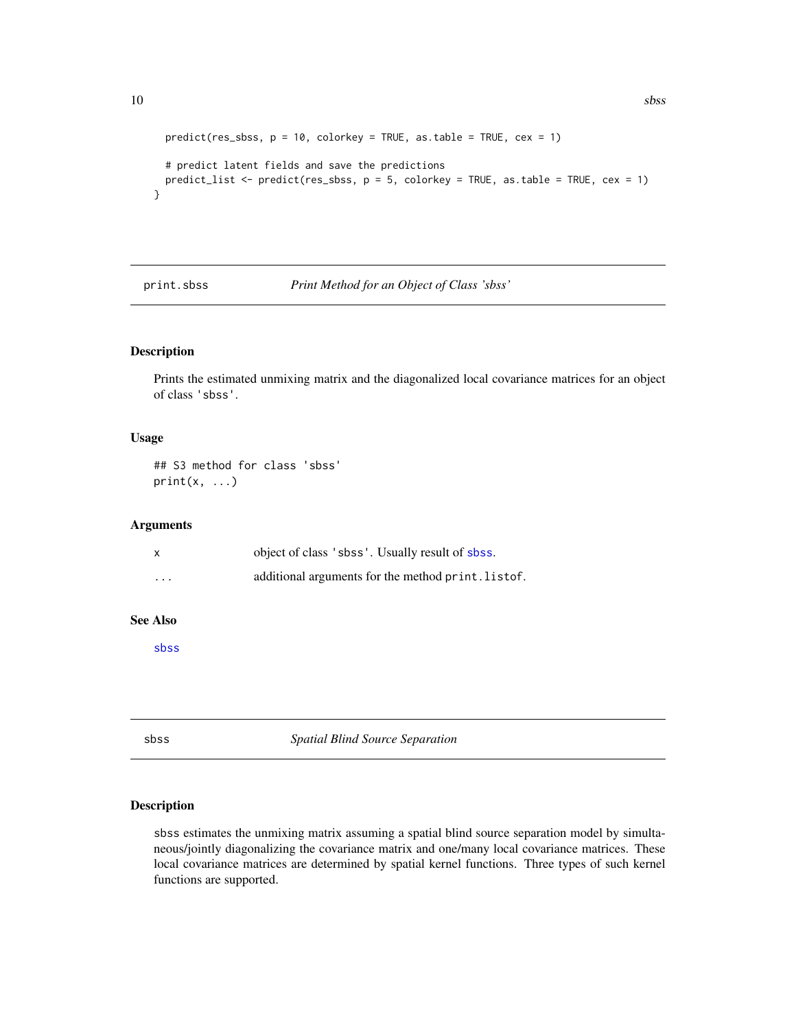```
predict(res_sbss, p = 10, colorkey = TRUE, as_table = TRUE, cex = 1)# predict latent fields and save the predictions
 predict_list <- predict(res_sbss, p = 5, colorkey = TRUE, as.table = TRUE, cex = 1)
}
```
print.sbss *Print Method for an Object of Class 'sbss'*

## Description

Prints the estimated unmixing matrix and the diagonalized local covariance matrices for an object of class 'sbss'.

## Usage

```
## S3 method for class 'sbss'
print(x, \ldots)
```
## Arguments

| X        | object of class 'sbss'. Usually result of sbss.    |
|----------|----------------------------------------------------|
| $\cdots$ | additional arguments for the method print. listof. |

#### See Also

[sbss](#page-9-1)

<span id="page-9-1"></span>sbss *Spatial Blind Source Separation*

## Description

sbss estimates the unmixing matrix assuming a spatial blind source separation model by simultaneous/jointly diagonalizing the covariance matrix and one/many local covariance matrices. These local covariance matrices are determined by spatial kernel functions. Three types of such kernel functions are supported.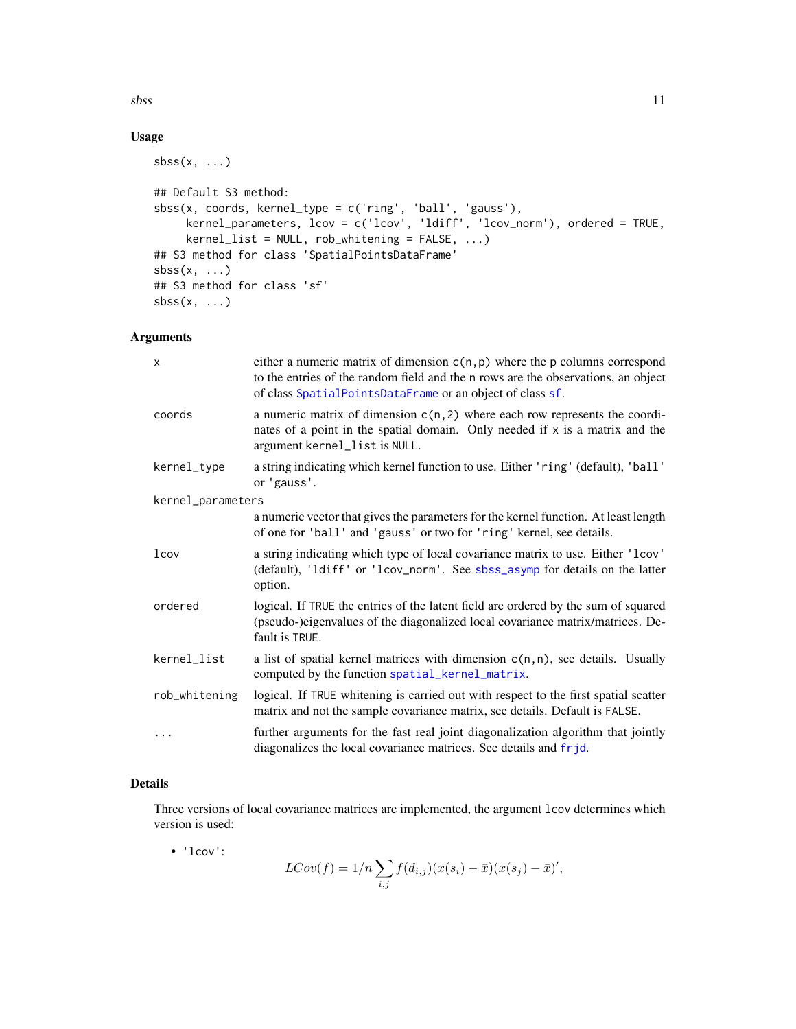<span id="page-10-0"></span> $s$ bss 11

## Usage

```
sbss(x, \ldots)## Default S3 method:
sbss(x, coords, kernel_type = c('ring', 'ball', 'gauss'),
     kernel_parameters, lcov = c('lcov', 'ldiff', 'lcov_norm'), ordered = TRUE,
     kernel_list = NULL, rob_whitening = FALSE, ...)
## S3 method for class 'SpatialPointsDataFrame'
\text{sbss}(x, \ldots)## S3 method for class 'sf'
\text{sbss}(x, \ldots)
```
## Arguments

| X                 | either a numeric matrix of dimension $c(n, p)$ where the p columns correspond<br>to the entries of the random field and the n rows are the observations, an object<br>of class SpatialPointsDataFrame or an object of class sf. |
|-------------------|---------------------------------------------------------------------------------------------------------------------------------------------------------------------------------------------------------------------------------|
| coords            | a numeric matrix of dimension $c(n, 2)$ where each row represents the coordi-<br>nates of a point in the spatial domain. Only needed if x is a matrix and the<br>argument kernel_list is NULL.                                  |
| kernel_type       | a string indicating which kernel function to use. Either 'ring' (default), 'ball'<br>or 'gauss'.                                                                                                                                |
| kernel_parameters |                                                                                                                                                                                                                                 |
|                   | a numeric vector that gives the parameters for the kernel function. At least length<br>of one for 'ball' and 'gauss' or two for 'ring' kernel, see details.                                                                     |
| lcov              | a string indicating which type of local covariance matrix to use. Either 'lcov'<br>(default), 'ldiff' or 'lcov_norm'. See sbss_asymp for details on the latter<br>option.                                                       |
| ordered           | logical. If TRUE the entries of the latent field are ordered by the sum of squared<br>(pseudo-)eigenvalues of the diagonalized local covariance matrix/matrices. De-<br>fault is TRUE.                                          |
| kernel_list       | a list of spatial kernel matrices with dimension $c(n, n)$ , see details. Usually<br>computed by the function spatial_kernel_matrix.                                                                                            |
| rob_whitening     | logical. If TRUE whitening is carried out with respect to the first spatial scatter<br>matrix and not the sample covariance matrix, see details. Default is FALSE.                                                              |
| $\cdots$          | further arguments for the fast real joint diagonalization algorithm that jointly<br>diagonalizes the local covariance matrices. See details and frjd.                                                                           |

## Details

Three versions of local covariance matrices are implemented, the argument lcov determines which version is used:

• 'lcov':

$$
LCov(f) = 1/n \sum_{i,j} f(d_{i,j})(x(s_i) - \bar{x})(x(s_j) - \bar{x})',
$$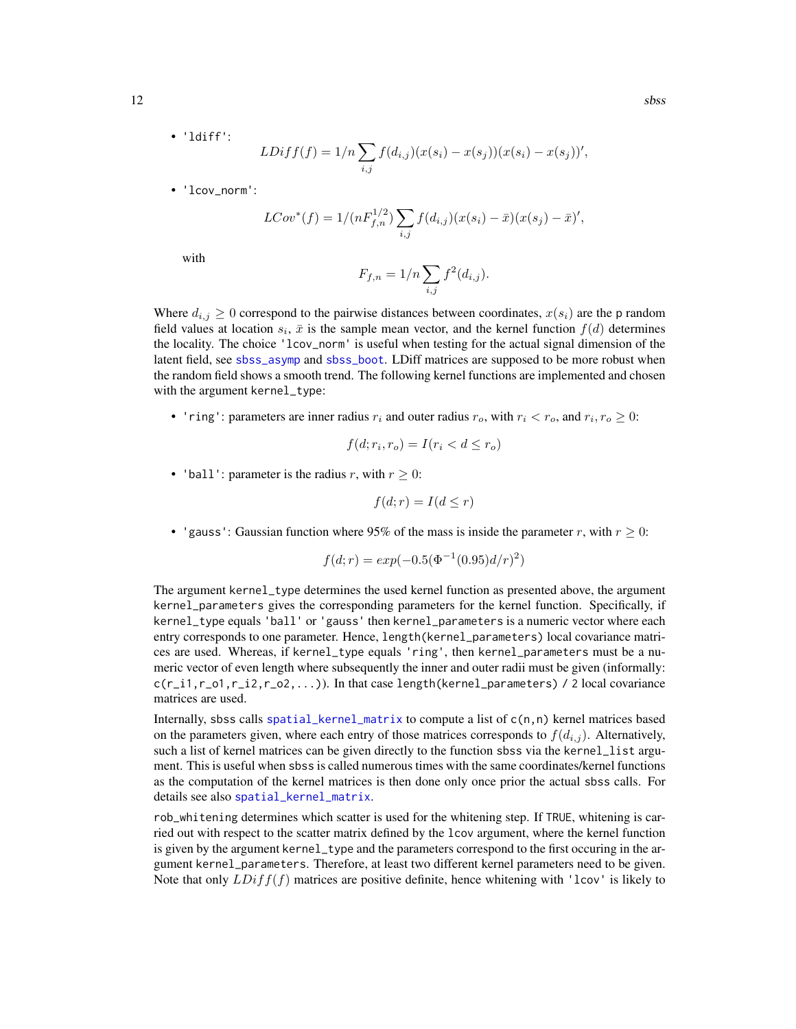• 'ldiff':

$$
LDiff(f) = 1/n \sum_{i,j} f(d_{i,j})(x(s_i) - x(s_j))(x(s_i) - x(s_j))',
$$

• 'lcov\_norm':

$$
LCov^{*}(f) = 1/(nF_{f,n}^{1/2}) \sum_{i,j} f(d_{i,j})(x(s_i) - \bar{x})(x(s_j) - \bar{x})',
$$

with

$$
F_{f,n} = 1/n \sum_{i,j} f^2(d_{i,j}).
$$

Where  $d_{i,j} \ge 0$  correspond to the pairwise distances between coordinates,  $x(s_i)$  are the p random field values at location  $s_i$ ,  $\bar{x}$  is the sample mean vector, and the kernel function  $f(d)$  determines the locality. The choice 'lcov\_norm' is useful when testing for the actual signal dimension of the latent field, see [sbss\\_asymp](#page-13-1) and [sbss\\_boot](#page-17-1). LDiff matrices are supposed to be more robust when the random field shows a smooth trend. The following kernel functions are implemented and chosen with the argument kernel\_type:

• 'ring': parameters are inner radius  $r_i$  and outer radius  $r_o$ , with  $r_i < r_o$ , and  $r_i, r_o \ge 0$ :

$$
f(d; r_i, r_o) = I(r_i < d \le r_o)
$$

• 'ball': parameter is the radius r, with  $r \geq 0$ :

$$
f(d;r) = I(d \le r)
$$

• 'gauss': Gaussian function where 95% of the mass is inside the parameter r, with  $r > 0$ :

$$
f(d;r) = exp(-0.5(\Phi^{-1}(0.95)d/r)^{2})
$$

The argument kernel\_type determines the used kernel function as presented above, the argument kernel\_parameters gives the corresponding parameters for the kernel function. Specifically, if kernel\_type equals 'ball' or 'gauss' then kernel\_parameters is a numeric vector where each entry corresponds to one parameter. Hence, length(kernel\_parameters) local covariance matrices are used. Whereas, if kernel\_type equals 'ring', then kernel\_parameters must be a numeric vector of even length where subsequently the inner and outer radii must be given (informally:  $c(r_i, i1, r_0, i2, r_0, \ldots)$ . In that case length(kernel\_parameters) / 2 local covariance matrices are used.

Internally, sbss calls [spatial\\_kernel\\_matrix](#page-30-1) to compute a list of  $c(n,n)$  kernel matrices based on the parameters given, where each entry of those matrices corresponds to  $f(d_{i,j})$ . Alternatively, such a list of kernel matrices can be given directly to the function sbss via the kernel list argument. This is useful when sbss is called numerous times with the same coordinates/kernel functions as the computation of the kernel matrices is then done only once prior the actual sbss calls. For details see also [spatial\\_kernel\\_matrix](#page-30-1).

rob\_whitening determines which scatter is used for the whitening step. If TRUE, whitening is carried out with respect to the scatter matrix defined by the lcov argument, where the kernel function is given by the argument kernel\_type and the parameters correspond to the first occuring in the argument kernel\_parameters. Therefore, at least two different kernel parameters need to be given. Note that only  $LDiff(f)$  matrices are positive definite, hence whitening with 'lcov' is likely to

<span id="page-11-0"></span>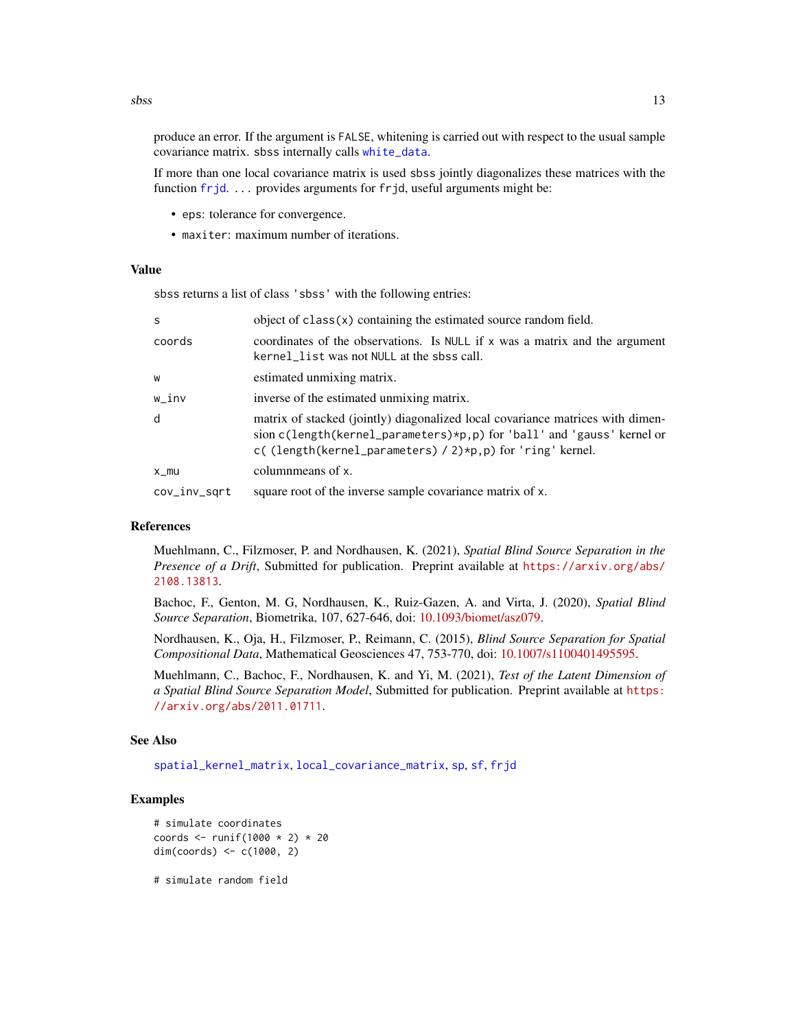<span id="page-12-0"></span>produce an error. If the argument is FALSE, whitening is carried out with respect to the usual sample covariance matrix. sbss internally calls [white\\_data](#page-33-1).

If more than one local covariance matrix is used sbss jointly diagonalizes these matrices with the function [frjd](#page-0-0). ... provides arguments for frjd, useful arguments might be:

- eps: tolerance for convergence.
- maxiter: maximum number of iterations.

## Value

sbss returns a list of class 'sbss' with the following entries:

| <sub>S</sub> | object of $class(x)$ containing the estimated source random field.                                                                                                                                                  |
|--------------|---------------------------------------------------------------------------------------------------------------------------------------------------------------------------------------------------------------------|
| coords       | coordinates of the observations. Is NULL if x was a matrix and the argument<br>kernel_list was not NULL at the sbss call.                                                                                           |
| W            | estimated unmixing matrix.                                                                                                                                                                                          |
| $W$ _inv     | inverse of the estimated unmixing matrix.                                                                                                                                                                           |
| d            | matrix of stacked (jointly) diagonalized local covariance matrices with dimen-<br>sion c(length(kernel_parameters)*p,p) for 'ball' and 'gauss' kernel or<br>c((length(kernel_parameters)/2)*p,p) for 'ring' kernel. |
| $x_{mu}$     | columnmeans of x.                                                                                                                                                                                                   |
| cov_inv_sqrt | square root of the inverse sample covariance matrix of x.                                                                                                                                                           |

## References

Muehlmann, C., Filzmoser, P. and Nordhausen, K. (2021), *Spatial Blind Source Separation in the Presence of a Drift*, Submitted for publication. Preprint available at [https://arxiv.org/abs/](https://arxiv.org/abs/2108.13813) [2108.13813](https://arxiv.org/abs/2108.13813).

Bachoc, F., Genton, M. G, Nordhausen, K., Ruiz-Gazen, A. and Virta, J. (2020), *Spatial Blind Source Separation*, Biometrika, 107, 627-646, doi: [10.1093/biomet/asz079.](https://doi.org/10.1093/biomet/asz079)

Nordhausen, K., Oja, H., Filzmoser, P., Reimann, C. (2015), *Blind Source Separation for Spatial Compositional Data*, Mathematical Geosciences 47, 753-770, doi: [10.1007/s1100401495595.](https://doi.org/10.1007/s11004-014-9559-5)

Muehlmann, C., Bachoc, F., Nordhausen, K. and Yi, M. (2021), *Test of the Latent Dimension of a Spatial Blind Source Separation Model*, Submitted for publication. Preprint available at [https:](https://arxiv.org/abs/2011.01711) [//arxiv.org/abs/2011.01711](https://arxiv.org/abs/2011.01711).

#### See Also

[spatial\\_kernel\\_matrix](#page-30-1), [local\\_covariance\\_matrix](#page-3-1), [sp](#page-0-0), [sf](#page-0-0), [frjd](#page-0-0)

## Examples

```
# simulate coordinates
coords <- runif(1000 * 2) * 20
dim(coords) <- c(1000, 2)
```
# simulate random field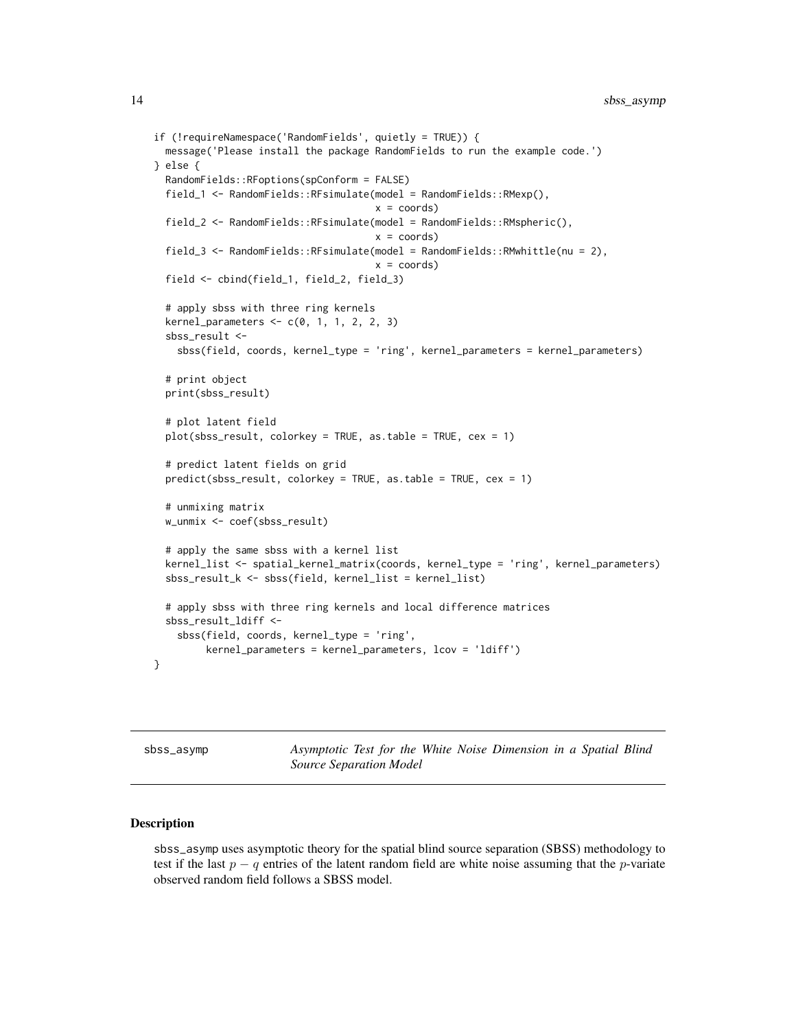```
if (!requireNamespace('RandomFields', quietly = TRUE)) {
 message('Please install the package RandomFields to run the example code.')
} else {
 RandomFields::RFoptions(spConform = FALSE)
 field_1 <- RandomFields::RFsimulate(model = RandomFields::RMexp(),
                                      x = coords)
 field_2 <- RandomFields::RFsimulate(model = RandomFields::RMspheric(),
                                      x = coords)
 field_3 <- RandomFields::RFsimulate(model = RandomFields::RMwhittle(nu = 2),
                                      x = coords)
 field <- cbind(field_1, field_2, field_3)
 # apply sbss with three ring kernels
 kernel_parameters \leq c(0, 1, 1, 2, 2, 3)sbss_result <-
    sbss(field, coords, kernel_type = 'ring', kernel_parameters = kernel_parameters)
 # print object
 print(sbss_result)
 # plot latent field
 plot(sbss_result, colorkey = TRUE, as.table = TRUE, cex = 1)
 # predict latent fields on grid
 predict(sbss_result, colorkey = TRUE, as.table = TRUE, cex = 1)
 # unmixing matrix
 w_unmix <- coef(sbss_result)
 # apply the same sbss with a kernel list
 kernel_list <- spatial_kernel_matrix(coords, kernel_type = 'ring', kernel_parameters)
 sbss_result_k <- sbss(field, kernel_list = kernel_list)
 # apply sbss with three ring kernels and local difference matrices
 sbss_result_ldiff <-
    sbss(field, coords, kernel_type = 'ring',
        kernel_parameters = kernel_parameters, lcov = 'ldiff')
}
```
<span id="page-13-1"></span>sbss\_asymp *Asymptotic Test for the White Noise Dimension in a Spatial Blind Source Separation Model*

#### **Description**

sbss\_asymp uses asymptotic theory for the spatial blind source separation (SBSS) methodology to test if the last  $p - q$  entries of the latent random field are white noise assuming that the p-variate observed random field follows a SBSS model.

<span id="page-13-0"></span>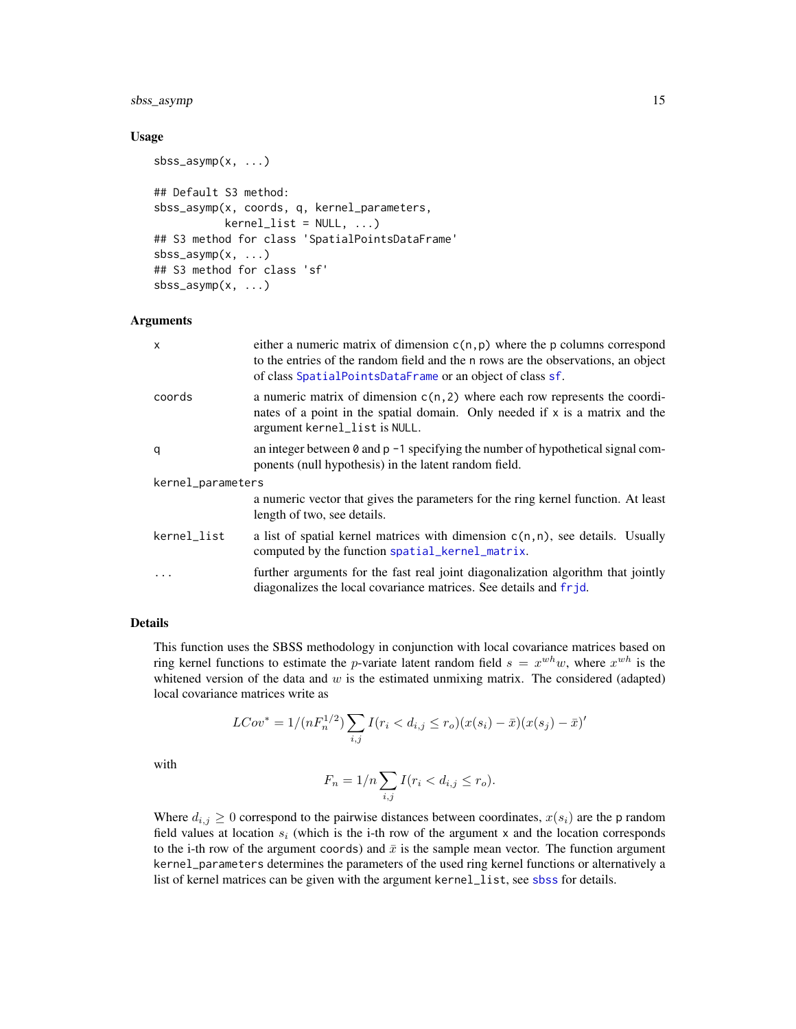## <span id="page-14-0"></span>sbss\_asymp 15

## Usage

```
sbss_asymp(x, ...)
## Default S3 method:
sbss_asymp(x, coords, q, kernel_parameters,
           kernel\_list = NULL, ...## S3 method for class 'SpatialPointsDataFrame'
sbss_asymp(x, ...)
## S3 method for class 'sf'
sbss_asymp(x, ...)
```
## Arguments

| $\mathsf{x}$      | either a numeric matrix of dimension $c(n, p)$ where the p columns correspond<br>to the entries of the random field and the n rows are the observations, an object<br>of class SpatialPointsDataFrame or an object of class sf. |  |
|-------------------|---------------------------------------------------------------------------------------------------------------------------------------------------------------------------------------------------------------------------------|--|
| coords            | a numeric matrix of dimension $c(n, 2)$ where each row represents the coordi-<br>nates of a point in the spatial domain. Only needed if x is a matrix and the<br>argument kernel_list is NULL.                                  |  |
| q                 | an integer between $\theta$ and $p - 1$ specifying the number of hypothetical signal com-<br>ponents (null hypothesis) in the latent random field.                                                                              |  |
| kernel_parameters |                                                                                                                                                                                                                                 |  |
|                   | a numeric vector that gives the parameters for the ring kernel function. At least<br>length of two, see details.                                                                                                                |  |
| kernel_list       | a list of spatial kernel matrices with dimension $c(n, n)$ , see details. Usually<br>computed by the function spatial_kernel_matrix.                                                                                            |  |
|                   | further arguments for the fast real joint diagonalization algorithm that jointly<br>diagonalizes the local covariance matrices. See details and frjd.                                                                           |  |

#### Details

This function uses the SBSS methodology in conjunction with local covariance matrices based on ring kernel functions to estimate the *p*-variate latent random field  $s = x^{wh}w$ , where  $x^{wh}$  is the whitened version of the data and  $w$  is the estimated unmixing matrix. The considered (adapted) local covariance matrices write as

$$
LCov^* = 1/(nF_n^{1/2}) \sum_{i,j} I(r_i < d_{i,j} \le r_o)(x(s_i) - \bar{x})(x(s_j) - \bar{x})'
$$

with

$$
F_n = 1/n \sum_{i,j} I(r_i < d_{i,j} \le r_o).
$$

Where  $d_{i,j} \ge 0$  correspond to the pairwise distances between coordinates,  $x(s_i)$  are the p random field values at location  $s_i$  (which is the i-th row of the argument x and the location corresponds to the i-th row of the argument coords) and  $\bar{x}$  is the sample mean vector. The function argument kernel\_parameters determines the parameters of the used ring kernel functions or alternatively a list of kernel matrices can be given with the argument kernel\_list, see [sbss](#page-9-1) for details.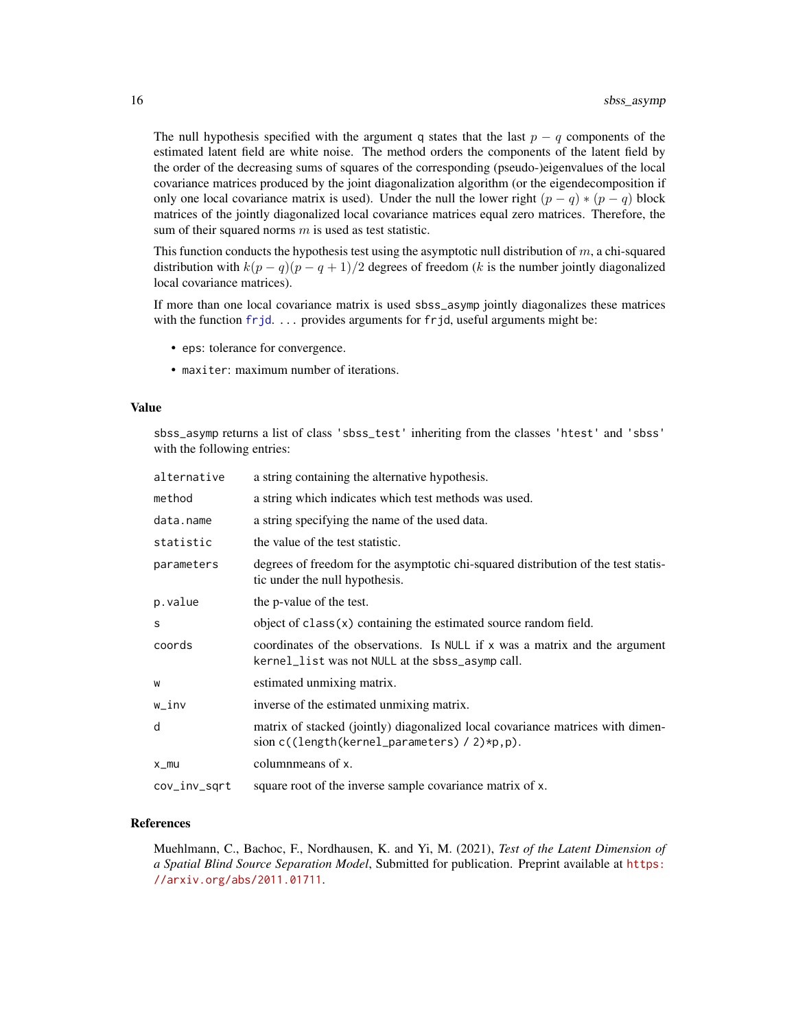The null hypothesis specified with the argument q states that the last  $p - q$  components of the estimated latent field are white noise. The method orders the components of the latent field by the order of the decreasing sums of squares of the corresponding (pseudo-)eigenvalues of the local covariance matrices produced by the joint diagonalization algorithm (or the eigendecomposition if only one local covariance matrix is used). Under the null the lower right  $(p - q) * (p - q)$  block matrices of the jointly diagonalized local covariance matrices equal zero matrices. Therefore, the sum of their squared norms  $m$  is used as test statistic.

This function conducts the hypothesis test using the asymptotic null distribution of  $m$ , a chi-squared distribution with  $k(p - q)(p - q + 1)/2$  degrees of freedom (k is the number jointly diagonalized local covariance matrices).

If more than one local covariance matrix is used sbss\_asymp jointly diagonalizes these matrices with the function [frjd](#page-0-0). ... provides arguments for frjd, useful arguments might be:

- eps: tolerance for convergence.
- maxiter: maximum number of iterations.

#### Value

sbss\_asymp returns a list of class 'sbss\_test' inheriting from the classes 'htest' and 'sbss' with the following entries:

| alternative  | a string containing the alternative hypothesis.                                                                                     |
|--------------|-------------------------------------------------------------------------------------------------------------------------------------|
| method       | a string which indicates which test methods was used.                                                                               |
| data.name    | a string specifying the name of the used data.                                                                                      |
| statistic    | the value of the test statistic.                                                                                                    |
| parameters   | degrees of freedom for the asymptotic chi-squared distribution of the test statis-<br>tic under the null hypothesis.                |
| p.value      | the p-value of the test.                                                                                                            |
| S            | object of $\text{class}(x)$ containing the estimated source random field.                                                           |
| coords       | coordinates of the observations. Is NULL if x was a matrix and the argument<br>kernel_list was not NULL at the sbss_asymp call.     |
| W            | estimated unmixing matrix.                                                                                                          |
| w_inv        | inverse of the estimated unmixing matrix.                                                                                           |
| d            | matrix of stacked (jointly) diagonalized local covariance matrices with dimen-<br>sion $c((length(kernet\_parameters) / 2)*p, p)$ . |
| $x_{mu}$     | columnmeans of x.                                                                                                                   |
| cov_inv_sqrt | square root of the inverse sample covariance matrix of x.                                                                           |

## References

Muehlmann, C., Bachoc, F., Nordhausen, K. and Yi, M. (2021), *Test of the Latent Dimension of a Spatial Blind Source Separation Model*, Submitted for publication. Preprint available at [https:](https://arxiv.org/abs/2011.01711) [//arxiv.org/abs/2011.01711](https://arxiv.org/abs/2011.01711).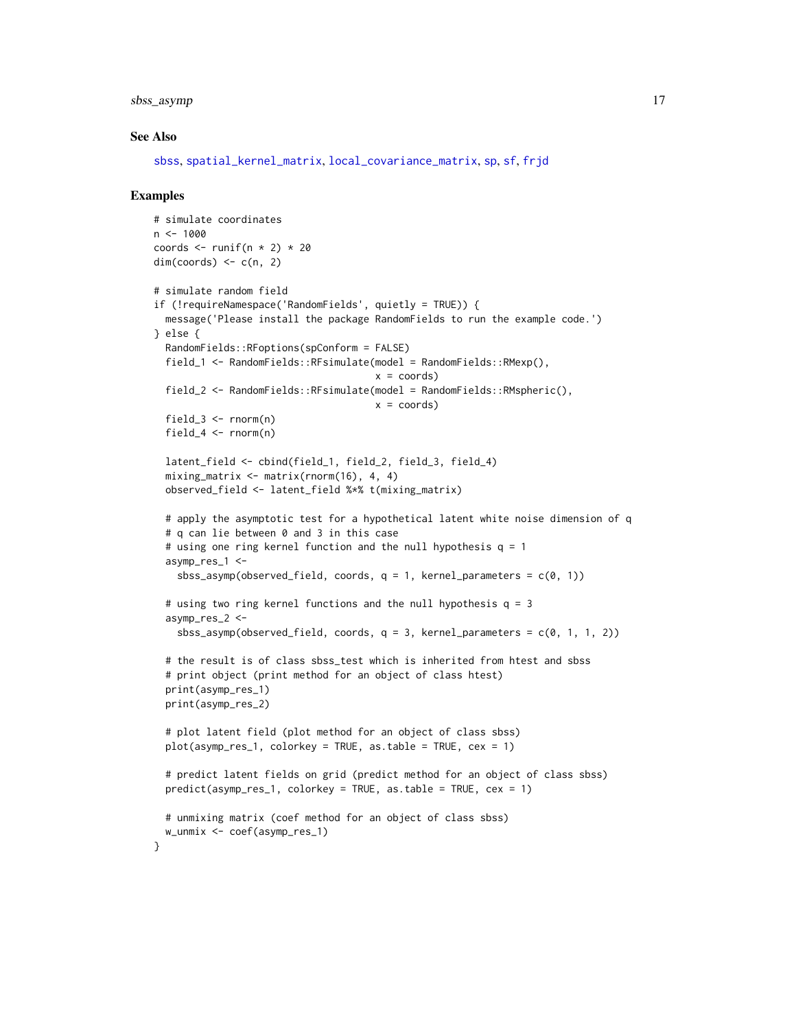## <span id="page-16-0"></span>sbss\_asymp 17

## See Also

```
sbss, spatial_kernel_matrix, local_covariance_matrix, sp, sf, frjd
```

```
# simulate coordinates
n < -1000coords \le- runif(n \neq 2) \neq 20
dim(coords) \leq c(n, 2)
# simulate random field
if (!requireNamespace('RandomFields', quietly = TRUE)) {
  message('Please install the package RandomFields to run the example code.')
} else {
  RandomFields::RFoptions(spConform = FALSE)
  field_1 <- RandomFields::RFsimulate(model = RandomFields::RMexp(),
                                      x = coords)
  field_2 <- RandomFields::RFsimulate(model = RandomFields::RMspheric(),
                                      x = coords)
  field_3 \le- rnorm(n)field_4 <- rnorm(n)
  latent_field <- cbind(field_1, field_2, field_3, field_4)
  mixing_matrix \leq matrix(rnorm(16), 4, 4)
  observed_field <- latent_field %*% t(mixing_matrix)
  # apply the asymptotic test for a hypothetical latent white noise dimension of q
  # q can lie between 0 and 3 in this case
  # using one ring kernel function and the null hypothesis q = 1asymp_res_1 <-
    sbss_asymp(observed_field, coords, q = 1, kernel_parameters = c(0, 1))
  # using two ring kernel functions and the null hypothesis q = 3asymp_res_2 <-
    sbss_asymp(observed_field, coords, q = 3, kernel_parameters = c(0, 1, 1, 2))
  # the result is of class sbss_test which is inherited from htest and sbss
  # print object (print method for an object of class htest)
  print(asymp_res_1)
  print(asymp_res_2)
  # plot latent field (plot method for an object of class sbss)
  plot(asymp_res_1, colorkey = TRUE, as.table = TRUE, cex = 1)
  # predict latent fields on grid (predict method for an object of class sbss)
  predict(asymp_res_1, colorkey = TRUE, as.table = TRUE, cex = 1)
  # unmixing matrix (coef method for an object of class sbss)
  w_unmix <- coef(asymp_res_1)
}
```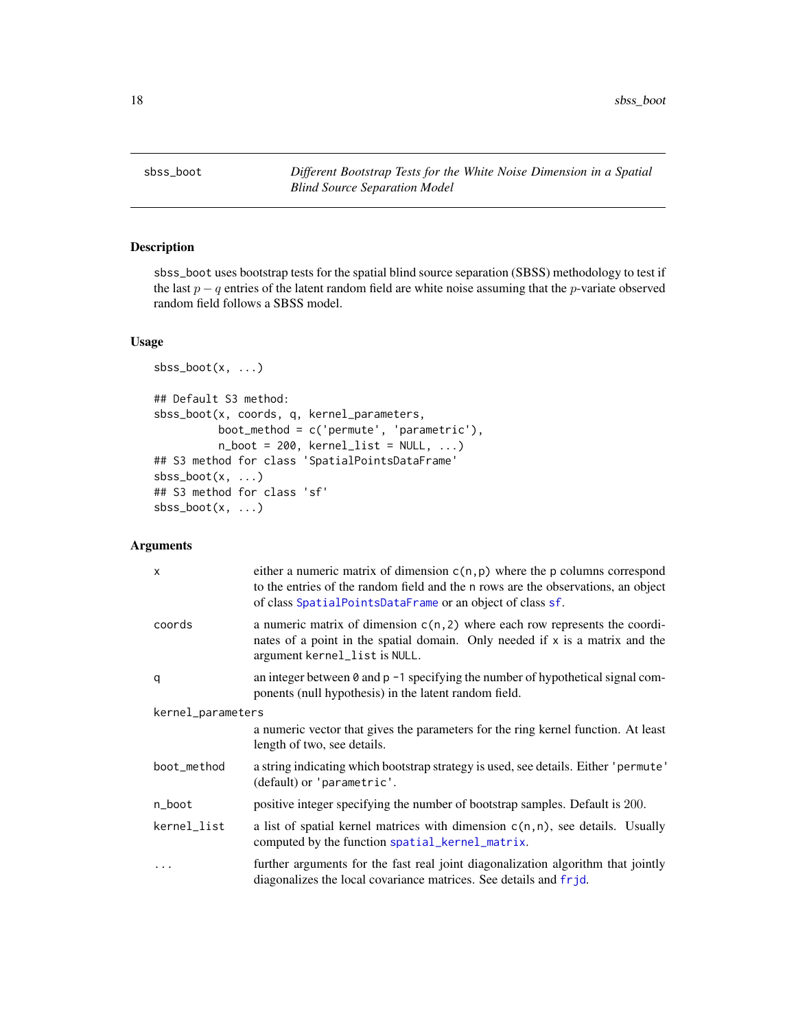<span id="page-17-1"></span><span id="page-17-0"></span>sbss\_boot *Different Bootstrap Tests for the White Noise Dimension in a Spatial Blind Source Separation Model*

## Description

sbss\_boot uses bootstrap tests for the spatial blind source separation (SBSS) methodology to test if the last  $p - q$  entries of the latent random field are white noise assuming that the p-variate observed random field follows a SBSS model.

## Usage

```
sbss\_boot(x, ...)## Default S3 method:
sbss_boot(x, coords, q, kernel_parameters,
          boot_method = c('permute', 'parametric'),
          n\_boot = 200, kernal\_list = NULL, ...## S3 method for class 'SpatialPointsDataFrame'
sbss\_boot(x, \ldots)## S3 method for class 'sf'
sbss\_boot(x, ...)
```
## Arguments

| $\boldsymbol{\mathsf{x}}$ | either a numeric matrix of dimension $c(n, p)$ where the p columns correspond<br>to the entries of the random field and the n rows are the observations, an object<br>of class SpatialPointsDataFrame or an object of class sf. |  |
|---------------------------|---------------------------------------------------------------------------------------------------------------------------------------------------------------------------------------------------------------------------------|--|
| coords                    | a numeric matrix of dimension $c(n, 2)$ where each row represents the coordi-<br>nates of a point in the spatial domain. Only needed if x is a matrix and the<br>argument kernel_list is NULL.                                  |  |
| q                         | an integer between $\theta$ and $p - 1$ specifying the number of hypothetical signal com-<br>ponents (null hypothesis) in the latent random field.                                                                              |  |
| kernel_parameters         |                                                                                                                                                                                                                                 |  |
|                           | a numeric vector that gives the parameters for the ring kernel function. At least<br>length of two, see details.                                                                                                                |  |
| boot_method               | a string indicating which bootstrap strategy is used, see details. Either 'permute'<br>(default) or 'parametric'.                                                                                                               |  |
| n_boot                    | positive integer specifying the number of bootstrap samples. Default is 200.                                                                                                                                                    |  |
| kernel_list               | a list of spatial kernel matrices with dimension $c(n, n)$ , see details. Usually<br>computed by the function spatial_kernel_matrix.                                                                                            |  |
|                           | further arguments for the fast real joint diagonalization algorithm that jointly<br>diagonalizes the local covariance matrices. See details and frjd.                                                                           |  |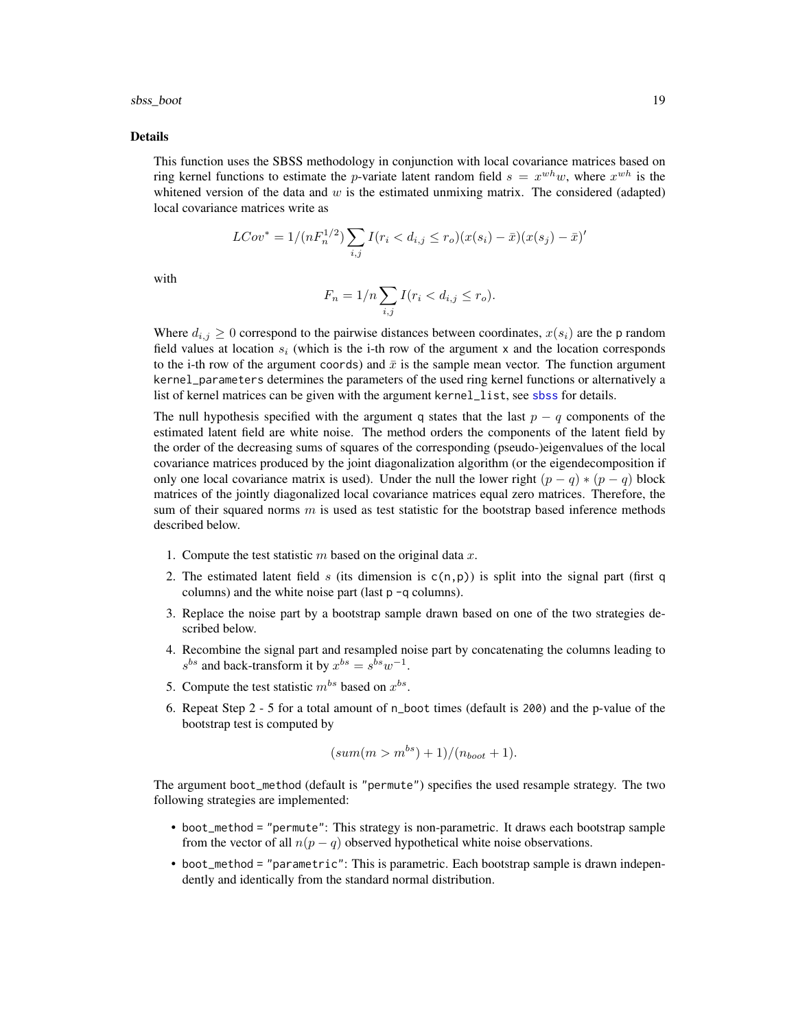### <span id="page-18-0"></span>Details

This function uses the SBSS methodology in conjunction with local covariance matrices based on ring kernel functions to estimate the *p*-variate latent random field  $s = x^{wh}w$ , where  $x^{wh}$  is the whitened version of the data and  $w$  is the estimated unmixing matrix. The considered (adapted) local covariance matrices write as

$$
LCov^* = 1/(nF_n^{1/2}) \sum_{i,j} I(r_i < d_{i,j} \le r_o)(x(s_i) - \bar{x})(x(s_j) - \bar{x})'
$$

with

$$
F_n = 1/n \sum_{i,j} I(r_i < d_{i,j} \le r_o).
$$

Where  $d_{i,j} \ge 0$  correspond to the pairwise distances between coordinates,  $x(s_i)$  are the p random field values at location  $s_i$  (which is the i-th row of the argument x and the location corresponds to the i-th row of the argument coords) and  $\bar{x}$  is the sample mean vector. The function argument kernel\_parameters determines the parameters of the used ring kernel functions or alternatively a list of kernel matrices can be given with the argument kernel\_list, see [sbss](#page-9-1) for details.

The null hypothesis specified with the argument q states that the last  $p - q$  components of the estimated latent field are white noise. The method orders the components of the latent field by the order of the decreasing sums of squares of the corresponding (pseudo-)eigenvalues of the local covariance matrices produced by the joint diagonalization algorithm (or the eigendecomposition if only one local covariance matrix is used). Under the null the lower right  $(p - q) * (p - q)$  block matrices of the jointly diagonalized local covariance matrices equal zero matrices. Therefore, the sum of their squared norms  $m$  is used as test statistic for the bootstrap based inference methods described below.

- 1. Compute the test statistic  $m$  based on the original data  $x$ .
- 2. The estimated latent field s (its dimension is  $c(n,p)$ ) is split into the signal part (first q columns) and the white noise part (last p -q columns).
- 3. Replace the noise part by a bootstrap sample drawn based on one of the two strategies described below.
- 4. Recombine the signal part and resampled noise part by concatenating the columns leading to  $s^{bs}$  and back-transform it by  $x^{bs} = s^{bs}w^{-1}$ .
- 5. Compute the test statistic  $m^{bs}$  based on  $x^{bs}$ .
- 6. Repeat Step 2 5 for a total amount of n\_boot times (default is 200) and the p-value of the bootstrap test is computed by

$$
(sum(m > m^{bs}) + 1)/(n_{boot} + 1).
$$

The argument boot\_method (default is "permute") specifies the used resample strategy. The two following strategies are implemented:

- boot\_method = "permute": This strategy is non-parametric. It draws each bootstrap sample from the vector of all  $n(p - q)$  observed hypothetical white noise observations.
- boot\_method = "parametric": This is parametric. Each bootstrap sample is drawn independently and identically from the standard normal distribution.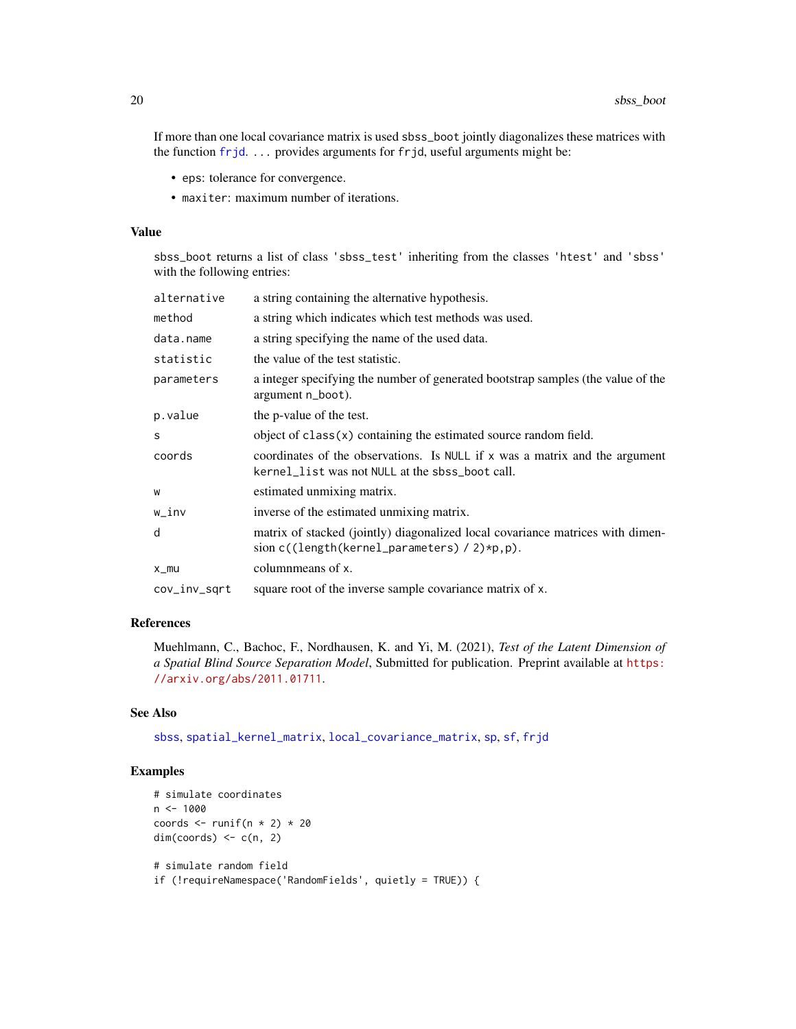<span id="page-19-0"></span>If more than one local covariance matrix is used sbss\_boot jointly diagonalizes these matrices with the function [frjd](#page-0-0). ... provides arguments for frjd, useful arguments might be:

- eps: tolerance for convergence.
- maxiter: maximum number of iterations.

#### Value

sbss\_boot returns a list of class 'sbss\_test' inheriting from the classes 'htest' and 'sbss' with the following entries:

| alternative  | a string containing the alternative hypothesis.                                                                                     |
|--------------|-------------------------------------------------------------------------------------------------------------------------------------|
| method       | a string which indicates which test methods was used.                                                                               |
| data.name    | a string specifying the name of the used data.                                                                                      |
| statistic    | the value of the test statistic.                                                                                                    |
| parameters   | a integer specifying the number of generated bootstrap samples (the value of the<br>argument n_boot).                               |
| p.value      | the p-value of the test.                                                                                                            |
| S            | object of $\text{class}(x)$ containing the estimated source random field.                                                           |
| coords       | coordinates of the observations. Is NULL if x was a matrix and the argument<br>kernel_list was not NULL at the sbss_boot call.      |
| W            | estimated unmixing matrix.                                                                                                          |
| w_inv        | inverse of the estimated unmixing matrix.                                                                                           |
| d            | matrix of stacked (jointly) diagonalized local covariance matrices with dimen-<br>sion $c((length(kernet\_parameters) / 2)*p, p)$ . |
| x_mu         | columnmeans of x.                                                                                                                   |
| cov_inv_sqrt | square root of the inverse sample covariance matrix of x.                                                                           |

## References

Muehlmann, C., Bachoc, F., Nordhausen, K. and Yi, M. (2021), *Test of the Latent Dimension of a Spatial Blind Source Separation Model*, Submitted for publication. Preprint available at [https:](https://arxiv.org/abs/2011.01711) [//arxiv.org/abs/2011.01711](https://arxiv.org/abs/2011.01711).

## See Also

[sbss](#page-9-1), [spatial\\_kernel\\_matrix](#page-30-1), [local\\_covariance\\_matrix](#page-3-1), [sp](#page-0-0), [sf](#page-0-0), [frjd](#page-0-0)

```
# simulate coordinates
n < -1000coords \le runif(n \neq 2) \neq 20
dim(coords) < -c(n, 2)# simulate random field
if (!requireNamespace('RandomFields', quietly = TRUE)) {
```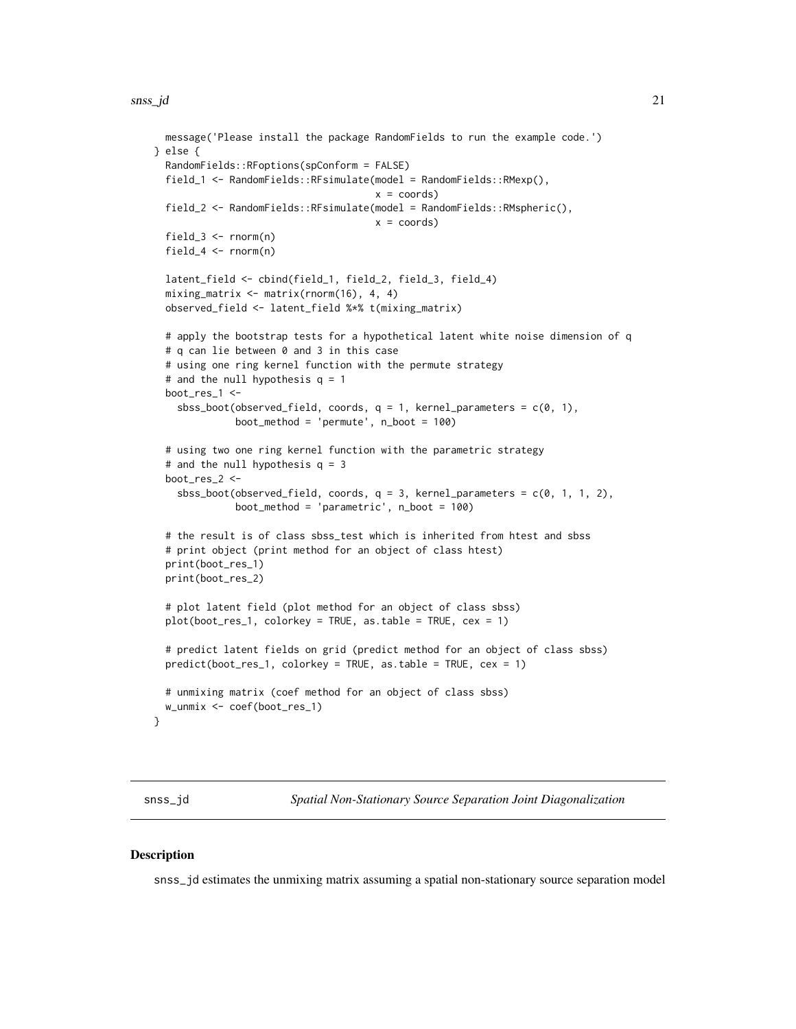```
message('Please install the package RandomFields to run the example code.')
} else {
 RandomFields::RFoptions(spConform = FALSE)
 field_1 <- RandomFields::RFsimulate(model = RandomFields::RMexp(),
                                      x = coords)
 field_2 <- RandomFields::RFsimulate(model = RandomFields::RMspheric(),
                                      x = coords)
 field_3 \le- rnorm(n)field_4 <- rnorm(n)
 latent_field <- cbind(field_1, field_2, field_3, field_4)
 mixing_matrix <- matrix(rnorm(16), 4, 4)
 observed_field <- latent_field %*% t(mixing_matrix)
 # apply the bootstrap tests for a hypothetical latent white noise dimension of q
 # q can lie between 0 and 3 in this case
 # using one ring kernel function with the permute strategy
 # and the null hypothesis q = 1boot_res_1 <-
    sbss_boot(observed_field, coords, q = 1, kernel_parameters = c(0, 1),
              boot_method = 'permute', n_boot = 100)
 # using two one ring kernel function with the parametric strategy
  # and the null hypothesis q = 3
 boot_res_2 <-
    sbss_boot(observed_field, coords, q = 3, kernel_parameters = c(0, 1, 1, 2),
              boot\_method = 'parametric', n\_boot = 100)# the result is of class sbss_test which is inherited from htest and sbss
 # print object (print method for an object of class htest)
 print(boot_res_1)
 print(boot_res_2)
 # plot latent field (plot method for an object of class sbss)
 plot(boot_res_1, colorkey = TRUE, as.table = TRUE, cex = 1)
 # predict latent fields on grid (predict method for an object of class sbss)
 predict(boot_res_1, colorkey = TRUE, as.table = TRUE, cex = 1)
 # unmixing matrix (coef method for an object of class sbss)
 w_unmix <- coef(boot_res_1)
```
}

<span id="page-20-1"></span>snss\_jd *Spatial Non-Stationary Source Separation Joint Diagonalization*

## **Description**

snss\_jd estimates the unmixing matrix assuming a spatial non-stationary source separation model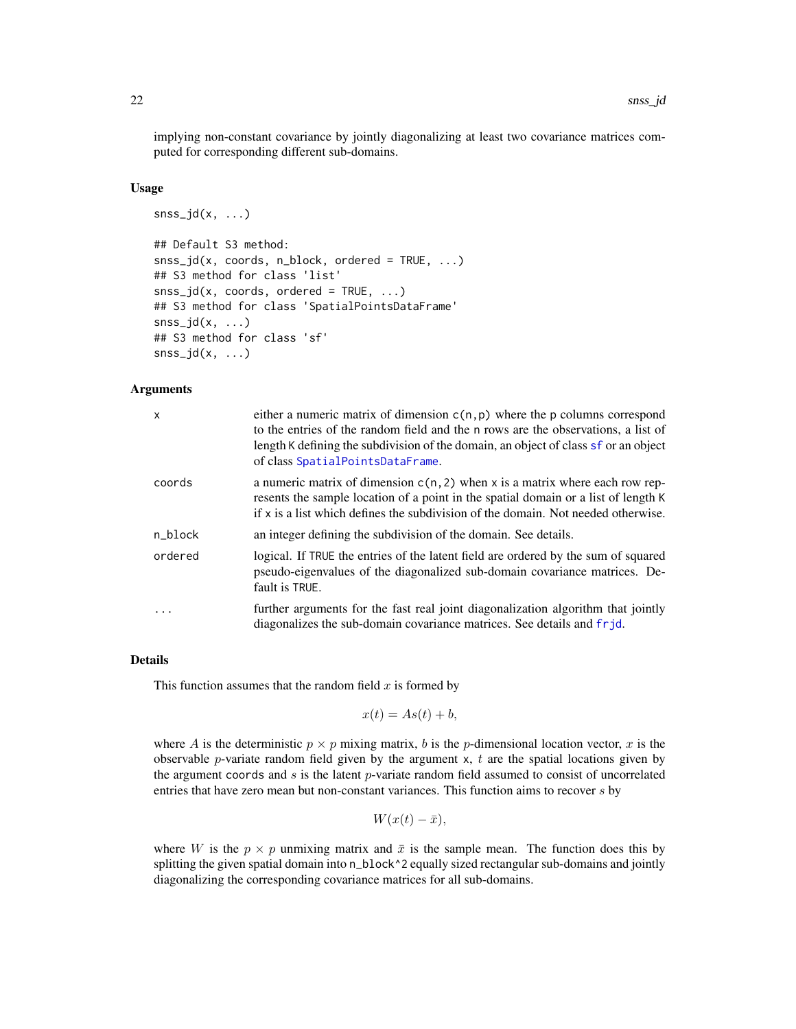<span id="page-21-0"></span>implying non-constant covariance by jointly diagonalizing at least two covariance matrices computed for corresponding different sub-domains.

#### Usage

```
snss_jd(x, \ldots)
## Default S3 method:
snss_jd(x, coords, n_block, ordered = TRUE, \ldots)
## S3 method for class 'list'
snssjd(x, coords, ordered = TRUE, ...)## S3 method for class 'SpatialPointsDataFrame'
snss_jd(x, ...)
## S3 method for class 'sf'
snss_jd(x, ...)
```
## Arguments

| $\times$ | either a numeric matrix of dimension $c(n, p)$ where the p columns correspond<br>to the entries of the random field and the n rows are the observations, a list of<br>length K defining the subdivision of the domain, an object of class sf or an object<br>of class SpatialPointsDataFrame. |
|----------|-----------------------------------------------------------------------------------------------------------------------------------------------------------------------------------------------------------------------------------------------------------------------------------------------|
| coords   | a numeric matrix of dimension $c(n, 2)$ when x is a matrix where each row rep-<br>resents the sample location of a point in the spatial domain or a list of length K<br>if x is a list which defines the subdivision of the domain. Not needed otherwise.                                     |
| n_block  | an integer defining the subdivision of the domain. See details.                                                                                                                                                                                                                               |
| ordered  | logical. If TRUE the entries of the latent field are ordered by the sum of squared<br>pseudo-eigenvalues of the diagonalized sub-domain covariance matrices. De-<br>fault is TRUE.                                                                                                            |
|          | further arguments for the fast real joint diagonalization algorithm that jointly<br>diagonalizes the sub-domain covariance matrices. See details and frid.                                                                                                                                    |

## Details

This function assumes that the random field  $x$  is formed by

$$
x(t) = As(t) + b,
$$

where A is the deterministic  $p \times p$  mixing matrix, b is the p-dimensional location vector, x is the observable *p*-variate random field given by the argument  $x$ ,  $t$  are the spatial locations given by the argument coords and  $s$  is the latent  $p$ -variate random field assumed to consist of uncorrelated entries that have zero mean but non-constant variances. This function aims to recover  $s$  by

$$
W(x(t)-\bar{x}),
$$

where W is the  $p \times p$  unmixing matrix and  $\bar{x}$  is the sample mean. The function does this by splitting the given spatial domain into n\_block^2 equally sized rectangular sub-domains and jointly diagonalizing the corresponding covariance matrices for all sub-domains.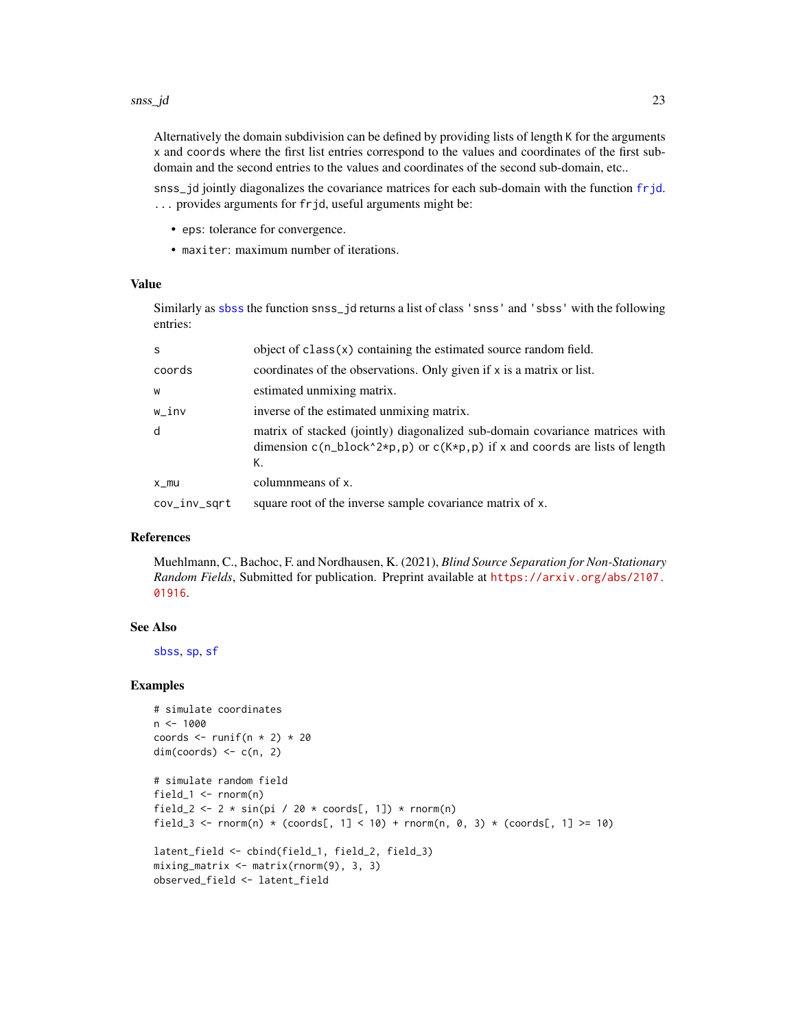#### <span id="page-22-0"></span>snss\_jd 23

Alternatively the domain subdivision can be defined by providing lists of length K for the arguments x and coords where the first list entries correspond to the values and coordinates of the first subdomain and the second entries to the values and coordinates of the second sub-domain, etc..

snss\_jd jointly diagonalizes the covariance matrices for each sub-domain with the function [frjd](#page-0-0). ... provides arguments for frjd, useful arguments might be:

- eps: tolerance for convergence.
- maxiter: maximum number of iterations.

## Value

Similarly as [sbss](#page-9-1) the function snss\_jd returns a list of class 'snss' and 'sbss' with the following entries:

| S            | object of $\text{class}(x)$ containing the estimated source random field.                                                                                              |
|--------------|------------------------------------------------------------------------------------------------------------------------------------------------------------------------|
| coords       | coordinates of the observations. Only given if x is a matrix or list.                                                                                                  |
| W            | estimated unmixing matrix.                                                                                                                                             |
| w_inv        | inverse of the estimated unmixing matrix.                                                                                                                              |
| d            | matrix of stacked (jointly) diagonalized sub-domain covariance matrices with<br>dimension $c(n_block^2*p, p)$ or $c(K*p, p)$ if x and coords are lists of length<br>К. |
| x_mu         | columnmeans of x.                                                                                                                                                      |
| cov_inv_sqrt | square root of the inverse sample covariance matrix of x.                                                                                                              |

#### References

Muehlmann, C., Bachoc, F. and Nordhausen, K. (2021), *Blind Source Separation for Non-Stationary Random Fields*, Submitted for publication. Preprint available at [https://arxiv.org/abs/2107.](https://arxiv.org/abs/2107.01916) [01916](https://arxiv.org/abs/2107.01916).

## See Also

[sbss](#page-9-1), [sp](#page-0-0), [sf](#page-0-0)

```
# simulate coordinates
n < -1000coords \le runif(n \neq 2) \neq 20
dim(coords) < -c(n, 2)# simulate random field
field_1 <- rnorm(n)
field_2 <- 2 * sin(pi / 20 * coords[, 1]) * rnorm(n)
field_3 <- rnorm(n) * (coords[, 1] < 10) + rnorm(n, 0, 3) * (coords[, 1] >= 10)
latent_field <- cbind(field_1, field_2, field_3)
mixing_matrix <- matrix(rnorm(9), 3, 3)
observed_field <- latent_field
```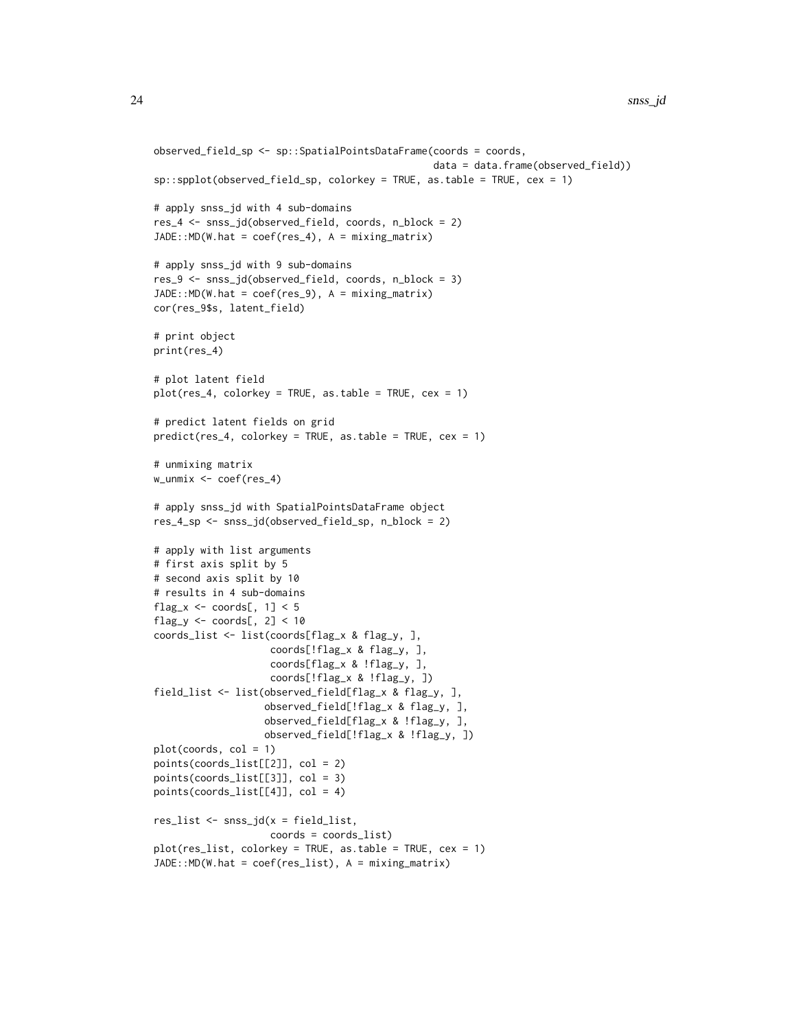```
observed_field_sp <- sp::SpatialPointsDataFrame(coords = coords,
                                                data = data.frame(observed_field))
sp::spplot(observed_field_sp, colorkey = TRUE, as.table = TRUE, cex = 1)
# apply snss_jd with 4 sub-domains
res_4 <- snss_jd(observed_field, coords, n_block = 2)
JADE::MD(W.hat = coef(res_4), A = mixing_matrix)# apply snss_jd with 9 sub-domains
res_9 <- snss_jd(observed_field, coords, n_block = 3)
JADE::MD(W.hat = coef(res_9), A = mixing_matrix)cor(res_9$s, latent_field)
# print object
print(res_4)
# plot latent field
plot(res_4, colorkey = TRUE, as.table = TRUE, cex = 1)
# predict latent fields on grid
predict(res_4, colorkey = TRUE, as_table = TRUE, cex = 1)# unmixing matrix
w_unmix <- coef(res_4)
# apply snss_jd with SpatialPointsDataFrame object
res_4_sp <- snss_jd(observed_field_sp, n_block = 2)
# apply with list arguments
# first axis split by 5
# second axis split by 10
# results in 4 sub-domains
flag_x \le coords[, 1] \le 5
flag_y <- \text{coords}[, 2] < 10
coords_list <- list(coords[flag_x & flag_y, ],
                    coords[!flag_x & flag_y, ],
                    coords[flag_x & !flag_y, ],
                    coords[!flag_x & !flag_y, ])
field_list <- list(observed_field[flag_x & flag_y, ],
                   observed_field[!flag_x & flag_y, ],
                   observed_field[flag_x & !flag_y, ],
                   observed_field[!flag_x & !flag_y, ])
plot(coords, col = 1)
points(coords_list[[2]], col = 2)
points(coords_list[[3]], col = 3)
points(coords_list[[4]], col = 4)
res_list <- snss_jd(x = field_list,
                    coords = coords_list)
plot(res_list, colorkey = TRUE, as.table = TRUE, cex = 1)
JADE::MD(W.hat = coef(res_list), A = mixing_matrix)
```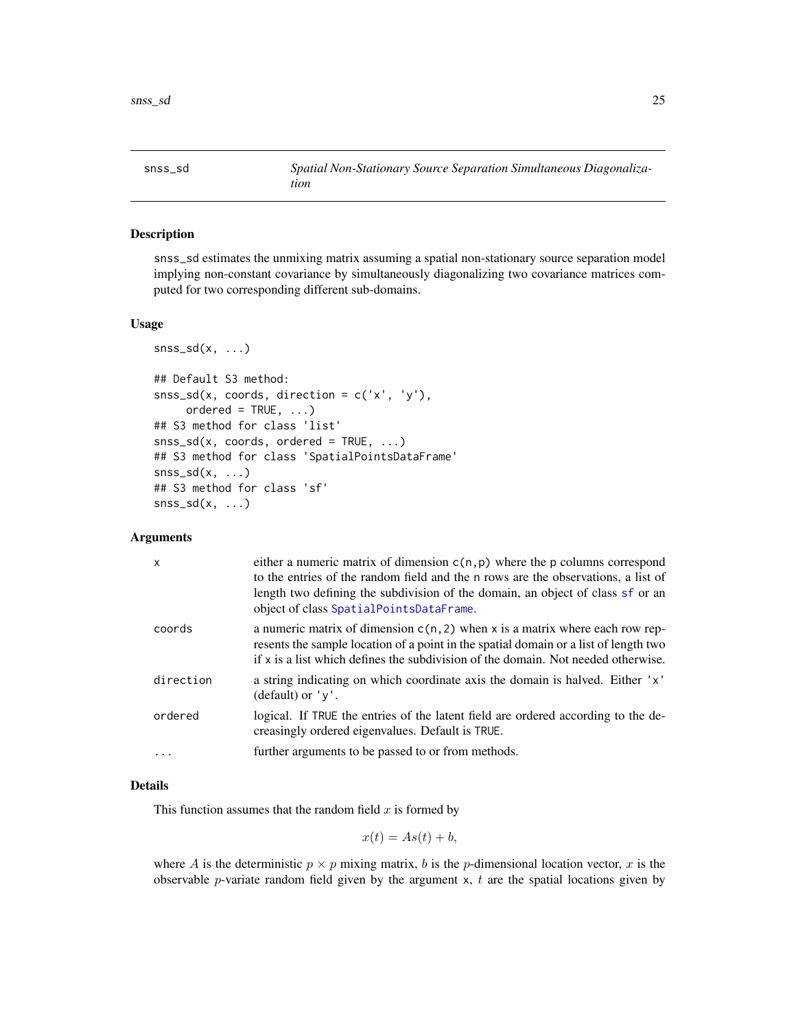<span id="page-24-1"></span><span id="page-24-0"></span>snss\_sd *Spatial Non-Stationary Source Separation Simultaneous Diagonalization*

## Description

snss\_sd estimates the unmixing matrix assuming a spatial non-stationary source separation model implying non-constant covariance by simultaneously diagonalizing two covariance matrices computed for two corresponding different sub-domains.

#### Usage

```
snsss\_sd(x, \ldots)## Default S3 method:
snss_sd(x, coords, direction = c('x', 'y'),
     ordered = TRUE, ...)
## S3 method for class 'list'
snss_sdd(x, coords, ordered = TRUE, ...)## S3 method for class 'SpatialPointsDataFrame'
snsss\_sd(x, \ldots)## S3 method for class 'sf'
snsss\_sd(x, \ldots)
```
## Arguments

| $\mathsf{x}$ | either a numeric matrix of dimension $c(n, p)$ where the p columns correspond<br>to the entries of the random field and the n rows are the observations, a list of<br>length two defining the subdivision of the domain, an object of class sf or an<br>object of class SpatialPointsDataFrame. |
|--------------|-------------------------------------------------------------------------------------------------------------------------------------------------------------------------------------------------------------------------------------------------------------------------------------------------|
| coords       | a numeric matrix of dimension $c(n, 2)$ when x is a matrix where each row rep-<br>resents the sample location of a point in the spatial domain or a list of length two<br>if x is a list which defines the subdivision of the domain. Not needed otherwise.                                     |
| direction    | a string indicating on which coordinate axis the domain is halved. Either 'x'<br>(default) or $'v'$ .                                                                                                                                                                                           |
| ordered      | logical. If TRUE the entries of the latent field are ordered according to the de-<br>creasingly ordered eigenvalues. Default is TRUE.                                                                                                                                                           |
| $\cdots$     | further arguments to be passed to or from methods.                                                                                                                                                                                                                                              |

#### Details

This function assumes that the random field  $x$  is formed by

$$
x(t) = As(t) + b,
$$

where A is the deterministic  $p \times p$  mixing matrix, b is the p-dimensional location vector, x is the observable *p*-variate random field given by the argument x,  $t$  are the spatial locations given by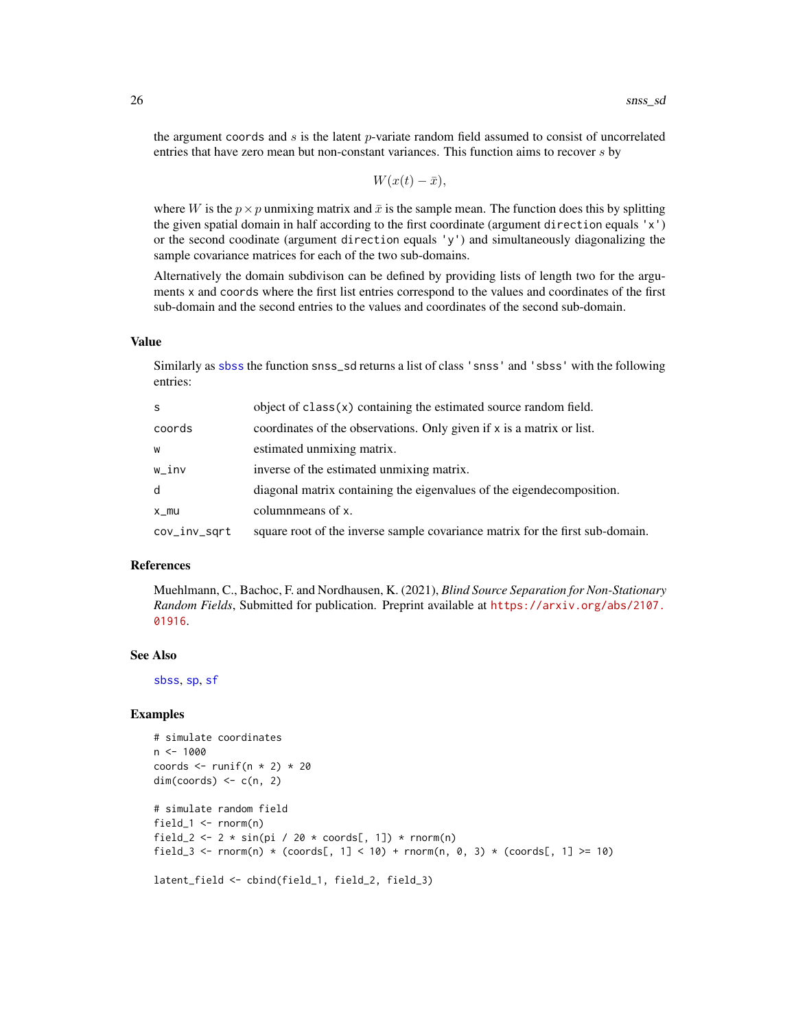<span id="page-25-0"></span>the argument coords and  $s$  is the latent  $p$ -variate random field assumed to consist of uncorrelated entries that have zero mean but non-constant variances. This function aims to recover s by

 $W(x(t)-\bar{x}),$ 

where W is the  $p \times p$  unmixing matrix and  $\bar{x}$  is the sample mean. The function does this by splitting the given spatial domain in half according to the first coordinate (argument direction equals 'x') or the second coodinate (argument direction equals 'y') and simultaneously diagonalizing the sample covariance matrices for each of the two sub-domains.

Alternatively the domain subdivison can be defined by providing lists of length two for the arguments x and coords where the first list entries correspond to the values and coordinates of the first sub-domain and the second entries to the values and coordinates of the second sub-domain.

## Value

Similarly as [sbss](#page-9-1) the function snss\_sd returns a list of class 'snss' and 'sbss' with the following entries:

| S            | object of $\text{class}(x)$ containing the estimated source random field.     |
|--------------|-------------------------------------------------------------------------------|
| coords       | coordinates of the observations. Only given if x is a matrix or list.         |
| W            | estimated unmixing matrix.                                                    |
| w_inv        | inverse of the estimated unmixing matrix.                                     |
| d            | diagonal matrix containing the eigenvalues of the eigendecomposition.         |
| x_mu         | columnmeans of x.                                                             |
| cov_inv_sqrt | square root of the inverse sample covariance matrix for the first sub-domain. |

## References

Muehlmann, C., Bachoc, F. and Nordhausen, K. (2021), *Blind Source Separation for Non-Stationary Random Fields*, Submitted for publication. Preprint available at [https://arxiv.org/abs/2107.](https://arxiv.org/abs/2107.01916) [01916](https://arxiv.org/abs/2107.01916).

## See Also

[sbss](#page-9-1), [sp](#page-0-0), [sf](#page-0-0)

```
# simulate coordinates
n < -1000coords \le runif(n \neq 2) \neq 20
dim(coords) \leq c(n, 2)# simulate random field
field_1 <- rnorm(n)
field_2 <- 2 * sin(pi / 20 * coords[, 1]) * rnorm(n)
field_3 <- rnorm(n) * (coords[, 1] < 10) + rnorm(n, 0, 3) * (coords[, 1] >= 10)
latent_field <- cbind(field_1, field_2, field_3)
```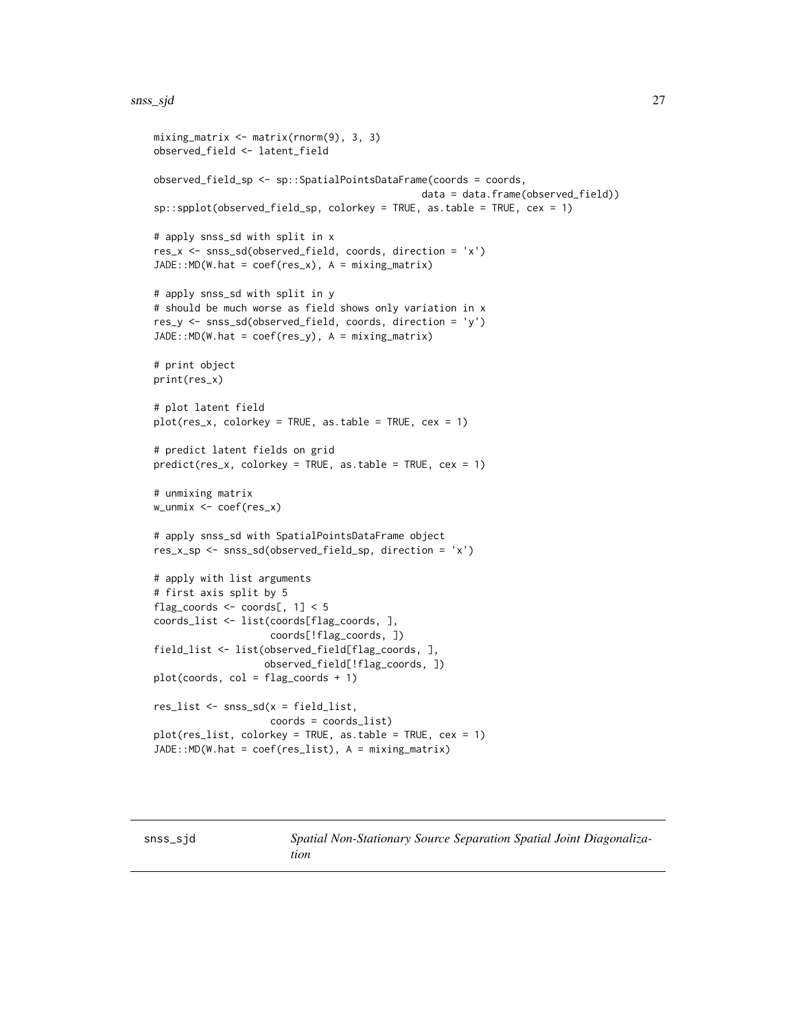#### <span id="page-26-0"></span>snss\_sjd 27

```
mixing_matrix <- matrix(rnorm(9), 3, 3)
observed_field <- latent_field
observed_field_sp <- sp::SpatialPointsDataFrame(coords = coords,
                                              data = data.frame(observed_field))
sp::spplot(observed_field_sp, colorkey = TRUE, as.table = TRUE, cex = 1)
# apply snss_sd with split in x
res_x <- snss_sd(observed_field, coords, direction = 'x')
JADE::MD(W.hat = coef(res_x), A = mixing_matrix)# apply snss_sd with split in y
# should be much worse as field shows only variation in x
res_y <- snss_sd(observed_field, coords, direction = 'y')
JADE::MD(W.hat = coef(res_y), A = mixing_matrix)# print object
print(res_x)
# plot latent field
plot(res_x, colorkey = TRUE, as.table = TRUE, cex = 1)
# predict latent fields on grid
predict(res_x, colorkey = TRUE, as.table = TRUE, cex = 1)
# unmixing matrix
w_unmix <- coef(res_x)
# apply snss_sd with SpatialPointsDataFrame object
res_x_sp <- snss_sd(observed_field_sp, direction = 'x')
# apply with list arguments
# first axis split by 5
flag_coords \le coords[, 1] \le 5
coords_list <- list(coords[flag_coords, ],
                    coords[!flag_coords, ])
field_list <- list(observed_field[flag_coords, ],
                   observed_field[!flag_coords, ])
plot(coords, col = flag_coords + 1)
res_list <- snss_sd(x = field_list,
                    coords = coords_list)
plot(res_list, colorkey = TRUE, as.table = TRUE, cex = 1)
JADE::MD(W.hat = coef(res_list), A = mixing_matrix)
```
<span id="page-26-1"></span>snss\_sjd *Spatial Non-Stationary Source Separation Spatial Joint Diagonalization*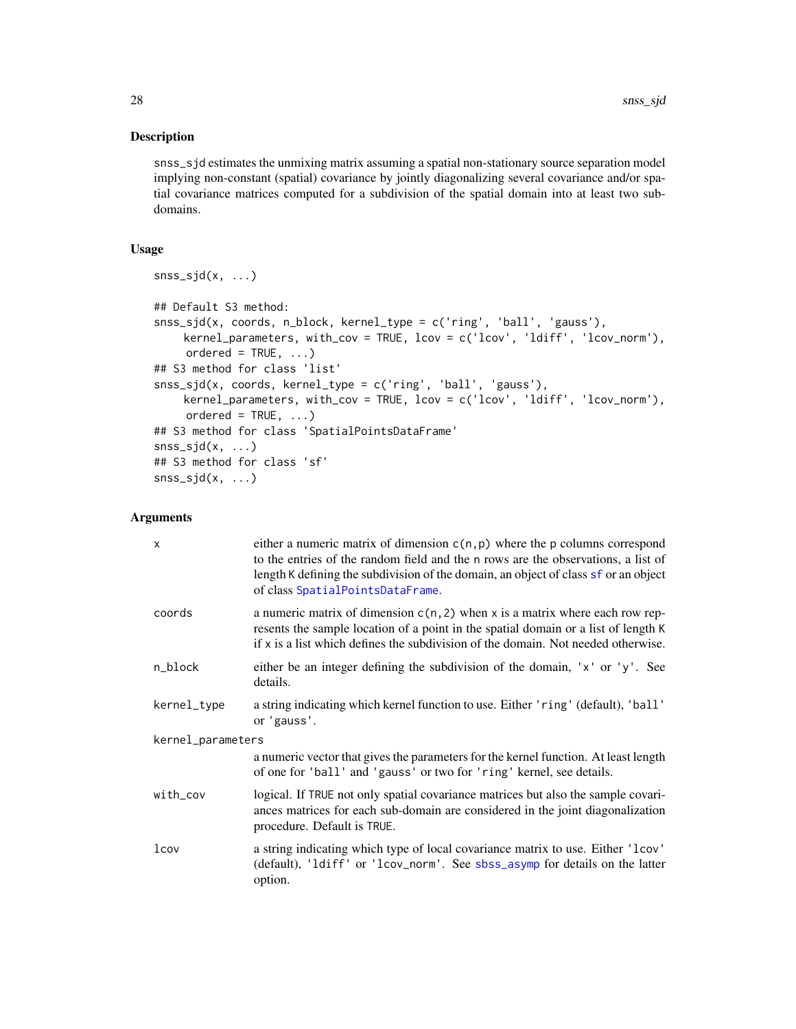## <span id="page-27-0"></span>Description

snss\_sjd estimates the unmixing matrix assuming a spatial non-stationary source separation model implying non-constant (spatial) covariance by jointly diagonalizing several covariance and/or spatial covariance matrices computed for a subdivision of the spatial domain into at least two subdomains.

## Usage

```
snsss\_sjd(x, \ldots)
```

```
## Default S3 method:
snss_sjd(x, coords, n_block, kernel_type = c('ring', 'ball', 'gauss'),
    kernel_parameters, with_cov = TRUE, lcov = c('lcov', 'ldiff', 'lcov_norm'),
    ordered = TRUE, ...)
## S3 method for class 'list'
snss_sjd(x, coords, kernel_type = c('ring', 'ball', 'gauss'),
    kernel_parameters, with_cov = TRUE, lcov = c('lcov', 'ldiff', 'lcov_norm'),
     ordered = TRUE, ...)
## S3 method for class 'SpatialPointsDataFrame'
snsss\_sjd(x, \ldots)## S3 method for class 'sf'
snsss\_sjd(x, \ldots)
```
## Arguments

| $\mathsf{x}$      | either a numeric matrix of dimension $c(n, p)$ where the p columns correspond<br>to the entries of the random field and the n rows are the observations, a list of<br>length K defining the subdivision of the domain, an object of class sf or an object<br>of class SpatialPointsDataFrame. |  |
|-------------------|-----------------------------------------------------------------------------------------------------------------------------------------------------------------------------------------------------------------------------------------------------------------------------------------------|--|
| coords            | a numeric matrix of dimension $c(n, 2)$ when x is a matrix where each row rep-<br>resents the sample location of a point in the spatial domain or a list of length K<br>if x is a list which defines the subdivision of the domain. Not needed otherwise.                                     |  |
| n_block           | either be an integer defining the subdivision of the domain, 'x' or 'y'. See<br>details.                                                                                                                                                                                                      |  |
| kernel_type       | a string indicating which kernel function to use. Either 'ring' (default), 'ball'<br>or 'gauss'.                                                                                                                                                                                              |  |
| kernel_parameters |                                                                                                                                                                                                                                                                                               |  |
|                   | a numeric vector that gives the parameters for the kernel function. At least length<br>of one for 'ball' and 'gauss' or two for 'ring' kernel, see details.                                                                                                                                   |  |
| with_cov          | logical. If TRUE not only spatial covariance matrices but also the sample covari-<br>ances matrices for each sub-domain are considered in the joint diagonalization<br>procedure. Default is TRUE.                                                                                            |  |
| $1$ cov           | a string indicating which type of local covariance matrix to use. Either 'lcov'<br>(default), '1diff' or '1cov_norm'. See sbss_asymp for details on the latter<br>option.                                                                                                                     |  |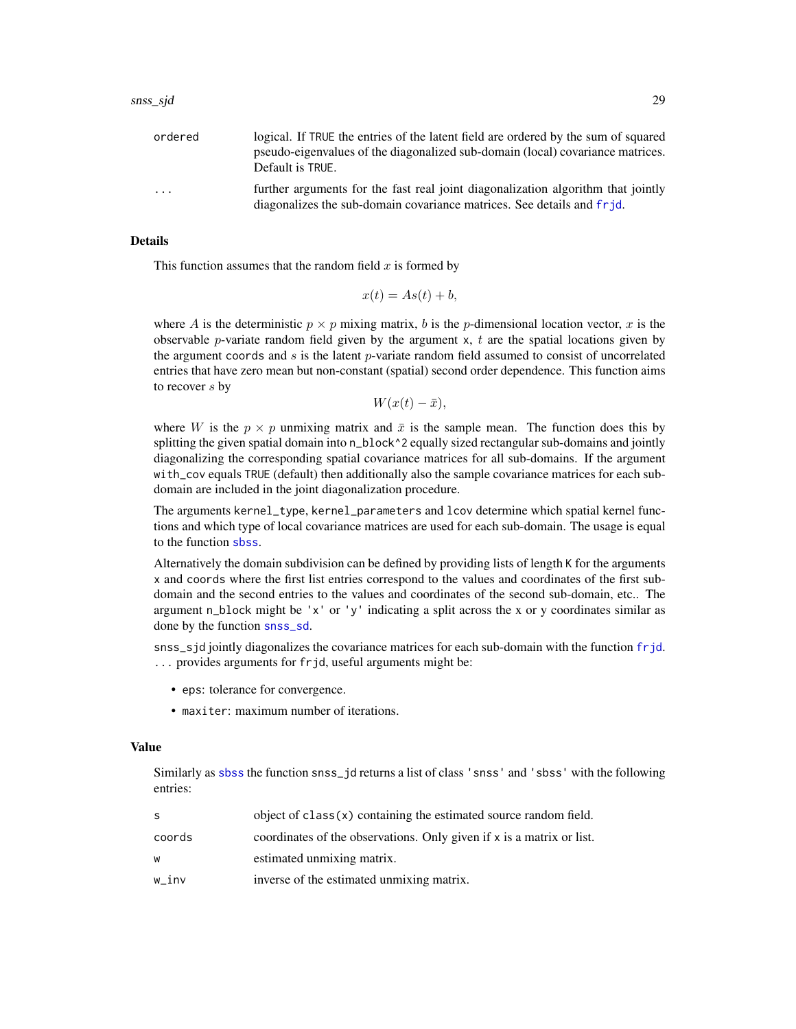|  | field and and and her the guns of so |  |  |
|--|--------------------------------------|--|--|

<span id="page-28-0"></span>ordered logical. If TRUE the entries of the latent field are ordered by the sum of squared pseudo-eigenvalues of the diagonalized sub-domain (local) covariance matrices. Default is TRUE. ... further arguments for the fast real joint diagonalization algorithm that jointly diagonalizes the sub-domain covariance matrices. See details and [frjd](#page-0-0).

## Details

This function assumes that the random field  $x$  is formed by

$$
x(t) = As(t) + b,
$$

where A is the deterministic  $p \times p$  mixing matrix, b is the p-dimensional location vector, x is the observable *p*-variate random field given by the argument x,  $t$  are the spatial locations given by the argument coords and  $s$  is the latent  $p$ -variate random field assumed to consist of uncorrelated entries that have zero mean but non-constant (spatial) second order dependence. This function aims to recover s by

 $W(x(t)-\bar{x}),$ 

where W is the  $p \times p$  unmixing matrix and  $\bar{x}$  is the sample mean. The function does this by splitting the given spatial domain into n\_block^2 equally sized rectangular sub-domains and jointly diagonalizing the corresponding spatial covariance matrices for all sub-domains. If the argument with\_cov equals TRUE (default) then additionally also the sample covariance matrices for each subdomain are included in the joint diagonalization procedure.

The arguments kernel\_type, kernel\_parameters and lcov determine which spatial kernel functions and which type of local covariance matrices are used for each sub-domain. The usage is equal to the function [sbss](#page-9-1).

Alternatively the domain subdivision can be defined by providing lists of length K for the arguments x and coords where the first list entries correspond to the values and coordinates of the first subdomain and the second entries to the values and coordinates of the second sub-domain, etc.. The argument n\_block might be 'x' or 'y' indicating a split across the x or y coordinates similar as done by the function [snss\\_sd](#page-24-1).

snss\_sjd jointly diagonalizes the covariance matrices for each sub-domain with the function [frjd](#page-0-0). ... provides arguments for frjd, useful arguments might be:

- eps: tolerance for convergence.
- maxiter: maximum number of iterations.

#### Value

Similarly as [sbss](#page-9-1) the function snss\_jd returns a list of class 'snss' and 'sbss' with the following entries:

| S      | object of $\text{class}(x)$ containing the estimated source random field. |
|--------|---------------------------------------------------------------------------|
| coords | coordinates of the observations. Only given if x is a matrix or list.     |
| w      | estimated unmixing matrix.                                                |
| w inv  | inverse of the estimated unmixing matrix.                                 |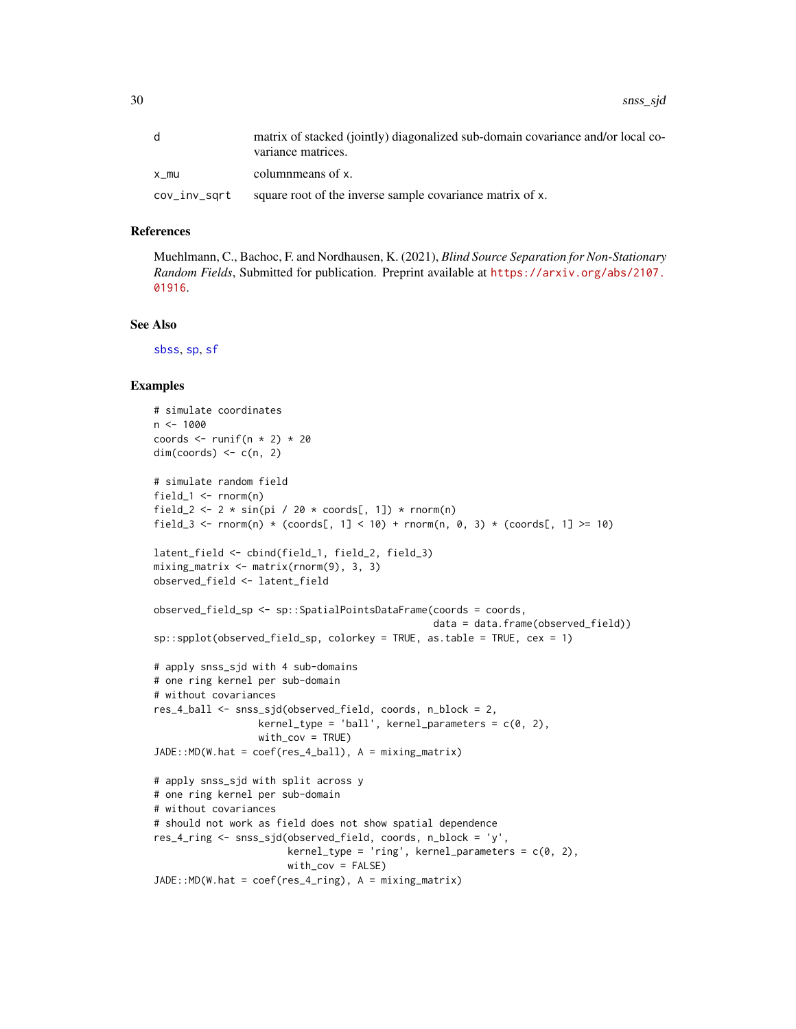#### <span id="page-29-0"></span>References

Muehlmann, C., Bachoc, F. and Nordhausen, K. (2021), *Blind Source Separation for Non-Stationary Random Fields*, Submitted for publication. Preprint available at [https://arxiv.org/abs/2107.](https://arxiv.org/abs/2107.01916) [01916](https://arxiv.org/abs/2107.01916).

## See Also

[sbss](#page-9-1), [sp](#page-0-0), [sf](#page-0-0)

```
# simulate coordinates
n < -1000coords \le runif(n \neq 2) \neq 20
dim(coords) \leq c(n, 2)
# simulate random field
field_1 <- rnorm(n)
field_2 <- 2 * sin(pi / 20 * coords[, 1]) * rnorm(n)
field_3 <- rnorm(n) * (coords[, 1] < 10) + rnorm(n, 0, 3) * (coords[, 1] >= 10)
latent_field <- cbind(field_1, field_2, field_3)
mixing_matrix <- matrix(rnorm(9), 3, 3)
observed_field <- latent_field
observed_field_sp <- sp::SpatialPointsDataFrame(coords = coords,
                                                data = data.frame(observed_field))
sp::spplot(observed_field_sp, colorkey = TRUE, as.table = TRUE, cex = 1)
# apply snss_sjd with 4 sub-domains
# one ring kernel per sub-domain
# without covariances
res_4_ball <- snss_sjd(observed_field, coords, n_block = 2,
                  kernel_type = 'ball', kernel_parameters = c(0, 2),width\_cov = TRUE)
JADE::MD(W.hat = coef(res_4_ball), A = mixing_matrix)
# apply snss_sjd with split across y
# one ring kernel per sub-domain
# without covariances
# should not work as field does not show spatial dependence
res_4_ring <- snss_sjd(observed_field, coords, n_block = 'y',
                       kernel_type = 'ring', kernel_parameters = c(0, 2),with_cov = FALSE)
JADE::MD(W.hat = coef(res_4_ring), A = mixing_matrix)
```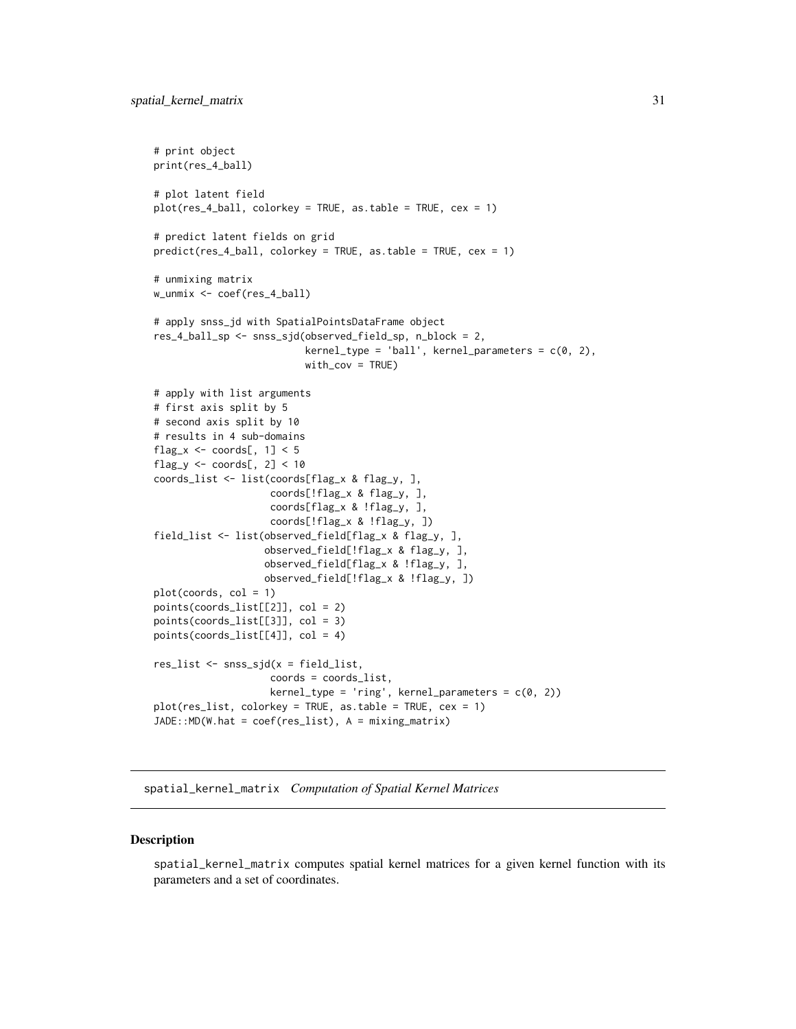```
# print object
print(res_4_ball)
# plot latent field
plot(res_4_ball, colorkey = TRUE, as.table = TRUE, cex = 1)
# predict latent fields on grid
predict(res_4_ball, colorkey = TRUE, as_table = TRUE, cex = 1)# unmixing matrix
w_unmix <- coef(res_4_ball)
# apply snss_jd with SpatialPointsDataFrame object
res_4_ball_sp <- snss_sjd(observed_field_sp, n_block = 2,
                          kernel_type = 'ball', kernel_parameters = c(0, 2),with_cov = TRUE)
# apply with list arguments
# first axis split by 5
# second axis split by 10
# results in 4 sub-domains
flag_x <- \text{coords}[, 1] < 5flag_y <- coords[, 2] < 10
coords_list <- list(coords[flag_x & flag_y, ],
                    coords[!flag_x & flag_y, ],
                    coords[flag_x & !flag_y, ],
                    coords[!flag_x & !flag_y, ])
field_list <- list(observed_field[flag_x & flag_y, ],
                   observed_field[!flag_x & flag_y, ],
                   observed_field[flag_x & !flag_y, ],
                   observed_field[!flag_x & !flag_y, ])
plot(coords, col = 1)
points(coords_list[[2]], col = 2)
points(coords_list[[3]], col = 3)
points(coords_list[[4]], col = 4)
res_list <- snss_sjd(x = field_list,
                    coords = coords_list,
                    kernel_type = 'ring', kernel_parameters = c(0, 2))plot(res_list, colorkey = TRUE, as.table = TRUE, cex = 1)
JADE::MD(W.hat = coef(res_list), A = mixing_matrix)
```
<span id="page-30-1"></span>spatial\_kernel\_matrix *Computation of Spatial Kernel Matrices*

#### Description

spatial\_kernel\_matrix computes spatial kernel matrices for a given kernel function with its parameters and a set of coordinates.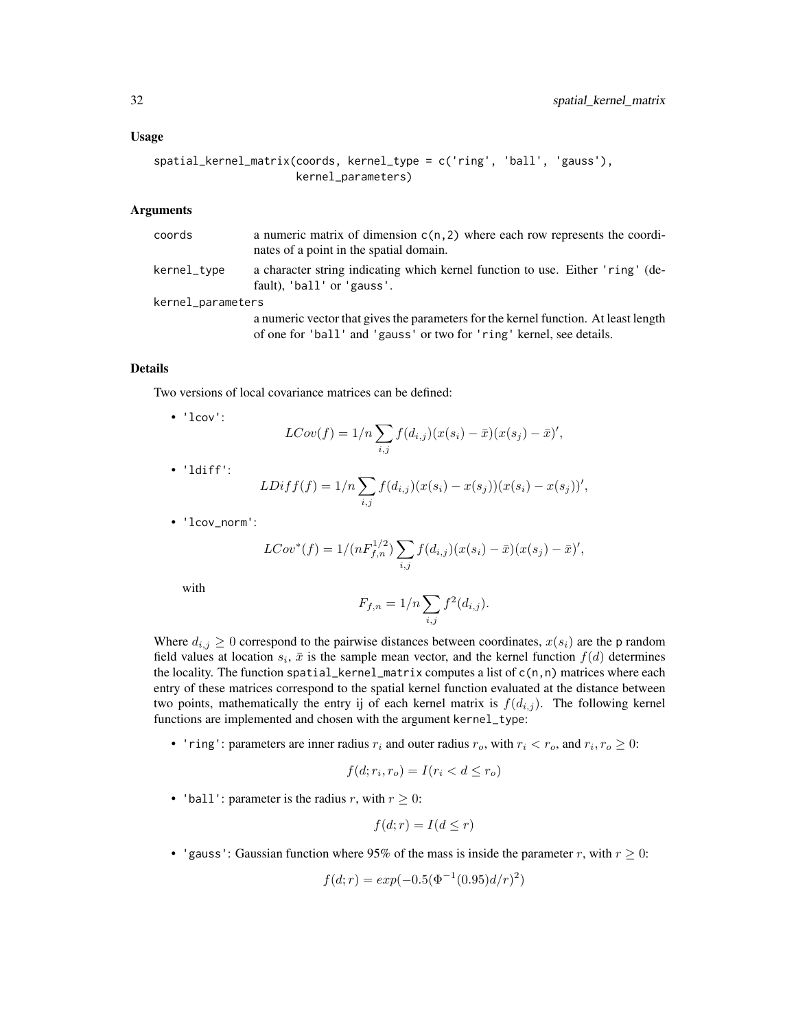#### Usage

spatial\_kernel\_matrix(coords, kernel\_type = c('ring', 'ball', 'gauss'), kernel\_parameters)

#### Arguments

| coords            | a numeric matrix of dimension $c(n, 2)$ where each row represents the coordi-<br>nates of a point in the spatial domain. |
|-------------------|--------------------------------------------------------------------------------------------------------------------------|
| kernel_tvpe       | a character string indicating which kernel function to use. Either 'ring' (de-<br>fault), 'ball' or 'gauss'.             |
| kernel_parameters |                                                                                                                          |
|                   | a numeric vector that gives the parameters for the kernel function. At least length                                      |

of one for 'ball' and 'gauss' or two for 'ring' kernel, see details.

## Details

Two versions of local covariance matrices can be defined:

• 'lcov':

$$
LCov(f) = 1/n \sum_{i,j} f(d_{i,j})(x(s_i) - \bar{x})(x(s_j) - \bar{x})',
$$

• 'ldiff':

$$
LDiff(f) = 1/n \sum_{i,j} f(d_{i,j})(x(s_i) - x(s_j))(x(s_i) - x(s_j))',
$$

• 'lcov\_norm':

$$
LCov^{*}(f) = 1/(nF_{f,n}^{1/2}) \sum_{i,j} f(d_{i,j})(x(s_i) - \bar{x})(x(s_j) - \bar{x})',
$$

with

$$
F_{f,n} = 1/n \sum_{i,j} f^2(d_{i,j}).
$$

Where  $d_{i,j} \geq 0$  correspond to the pairwise distances between coordinates,  $x(s_i)$  are the p random field values at location  $s_i$ ,  $\bar{x}$  is the sample mean vector, and the kernel function  $f(d)$  determines the locality. The function spatial\_kernel\_matrix computes a list of  $c(n,n)$  matrices where each entry of these matrices correspond to the spatial kernel function evaluated at the distance between two points, mathematically the entry ij of each kernel matrix is  $f(d_{i,j})$ . The following kernel functions are implemented and chosen with the argument kernel\_type:

• 'ring': parameters are inner radius  $r_i$  and outer radius  $r_o$ , with  $r_i < r_o$ , and  $r_i, r_o \ge 0$ :

$$
f(d; r_i, r_o) = I(r_i < d \le r_o)
$$

• 'ball': parameter is the radius r, with  $r \geq 0$ :

$$
f(d;r) = I(d \le r)
$$

• 'gauss': Gaussian function where 95% of the mass is inside the parameter r, with  $r \geq 0$ :

$$
f(d;r) = exp(-0.5(\Phi^{-1}(0.95)d/r)^{2})
$$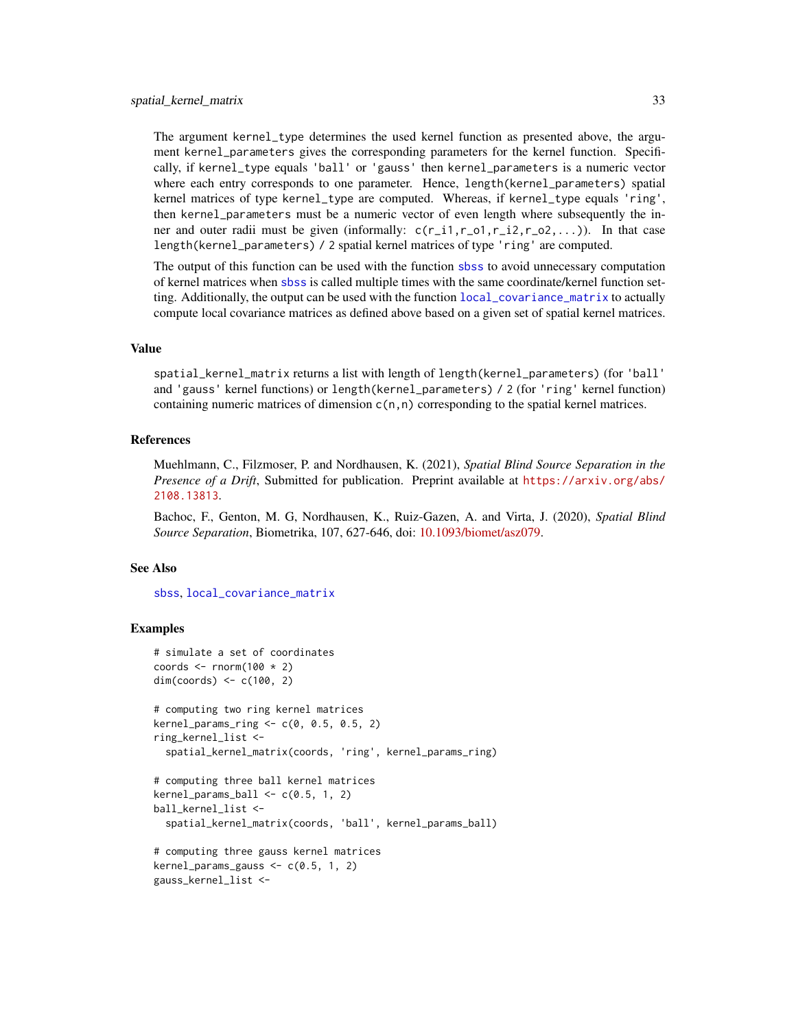<span id="page-32-0"></span>The argument kernel\_type determines the used kernel function as presented above, the argument kernel\_parameters gives the corresponding parameters for the kernel function. Specifically, if kernel\_type equals 'ball' or 'gauss' then kernel\_parameters is a numeric vector where each entry corresponds to one parameter. Hence, length(kernel\_parameters) spatial kernel matrices of type kernel\_type are computed. Whereas, if kernel\_type equals 'ring', then kernel\_parameters must be a numeric vector of even length where subsequently the inner and outer radii must be given (informally:  $c(r_i, i, r_0, i, r_i, i, r_0, \ldots)$ ). In that case length(kernel\_parameters) / 2 spatial kernel matrices of type 'ring' are computed.

The output of this function can be used with the function [sbss](#page-9-1) to avoid unnecessary computation of kernel matrices when [sbss](#page-9-1) is called multiple times with the same coordinate/kernel function setting. Additionally, the output can be used with the function [local\\_covariance\\_matrix](#page-3-1) to actually compute local covariance matrices as defined above based on a given set of spatial kernel matrices.

## Value

spatial\_kernel\_matrix returns a list with length of length(kernel\_parameters) (for 'ball' and 'gauss' kernel functions) or length(kernel\_parameters) / 2 (for 'ring' kernel function) containing numeric matrices of dimension  $c(n,n)$  corresponding to the spatial kernel matrices.

## References

Muehlmann, C., Filzmoser, P. and Nordhausen, K. (2021), *Spatial Blind Source Separation in the Presence of a Drift*, Submitted for publication. Preprint available at [https://arxiv.org/abs/](https://arxiv.org/abs/2108.13813) [2108.13813](https://arxiv.org/abs/2108.13813).

Bachoc, F., Genton, M. G, Nordhausen, K., Ruiz-Gazen, A. and Virta, J. (2020), *Spatial Blind Source Separation*, Biometrika, 107, 627-646, doi: [10.1093/biomet/asz079.](https://doi.org/10.1093/biomet/asz079)

#### See Also

[sbss](#page-9-1), [local\\_covariance\\_matrix](#page-3-1)

```
# simulate a set of coordinates
coords \le rnorm(100 \neq 2)
dim(coords) \leq c(100, 2)
# computing two ring kernel matrices
kernel_params_ring <- c(0, 0.5, 0.5, 2)
ring_kernel_list <-
 spatial_kernel_matrix(coords, 'ring', kernel_params_ring)
# computing three ball kernel matrices
kernel_params_ball \leftarrow c(0.5, 1, 2)ball_kernel_list <-
 spatial_kernel_matrix(coords, 'ball', kernel_params_ball)
# computing three gauss kernel matrices
kernel_params_gauss \leq c(0.5, 1, 2)gauss_kernel_list <-
```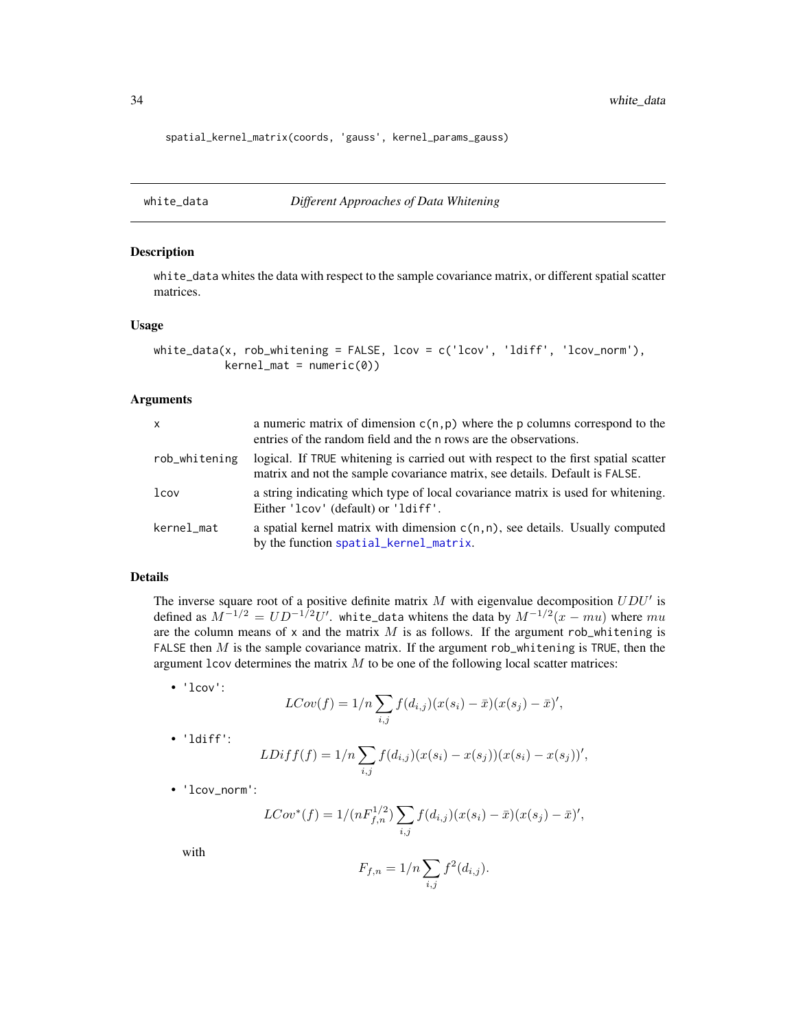<span id="page-33-0"></span>spatial\_kernel\_matrix(coords, 'gauss', kernel\_params\_gauss)

<span id="page-33-1"></span>white\_data

## Description

white\_data whites the data with respect to the sample covariance matrix, or different spatial scatter matrices.

## Usage

```
white_data(x, rob_whitening = FALSE, lcov = c('lcov', 'ldiff', 'lcov_norm'),
           kernel_matrix = numeric(0)
```
## Arguments

| $\mathsf{x}$  | a numeric matrix of dimension $c(n, p)$ where the p columns correspond to the<br>entries of the random field and the n rows are the observations.                  |
|---------------|--------------------------------------------------------------------------------------------------------------------------------------------------------------------|
| rob_whitening | logical. If TRUE whitening is carried out with respect to the first spatial scatter<br>matrix and not the sample covariance matrix, see details. Default is FALSE. |
| lcov          | a string indicating which type of local covariance matrix is used for whitening.<br>Either '1cov' (default) or '1diff'.                                            |
| kernel_mat    | a spatial kernel matrix with dimension $c(n,n)$ , see details. Usually computed<br>by the function spatial_kernel_matrix.                                          |

## Details

The inverse square root of a positive definite matrix  $M$  with eigenvalue decomposition  $UDU'$  is defined as  $M^{-1/2} = U D^{-1/2} U'$ . white\_data whitens the data by  $M^{-1/2}(x - mu)$  where  $mu$ are the column means of x and the matrix  $M$  is as follows. If the argument rob\_whitening is FALSE then  $M$  is the sample covariance matrix. If the argument rob\_whitening is TRUE, then the argument  $l$ cov determines the matrix  $M$  to be one of the following local scatter matrices:

• 'lcov':

$$
LCov(f) = 1/n \sum_{i,j} f(d_{i,j})(x(s_i) - \bar{x})(x(s_j) - \bar{x})',
$$

• 'ldiff':

$$
LDiff(f) = 1/n \sum_{i,j} f(d_{i,j})(x(s_i) - x(s_j))(x(s_i) - x(s_j))'
$$

• 'lcov\_norm':

$$
LCov^{*}(f) = 1/(nF_{f,n}^{1/2}) \sum_{i,j} f(d_{i,j})(x(s_i) - \bar{x})(x(s_j) - \bar{x})',
$$

with

$$
F_{f,n} = 1/n \sum_{i,j} f^2(d_{i,j}).
$$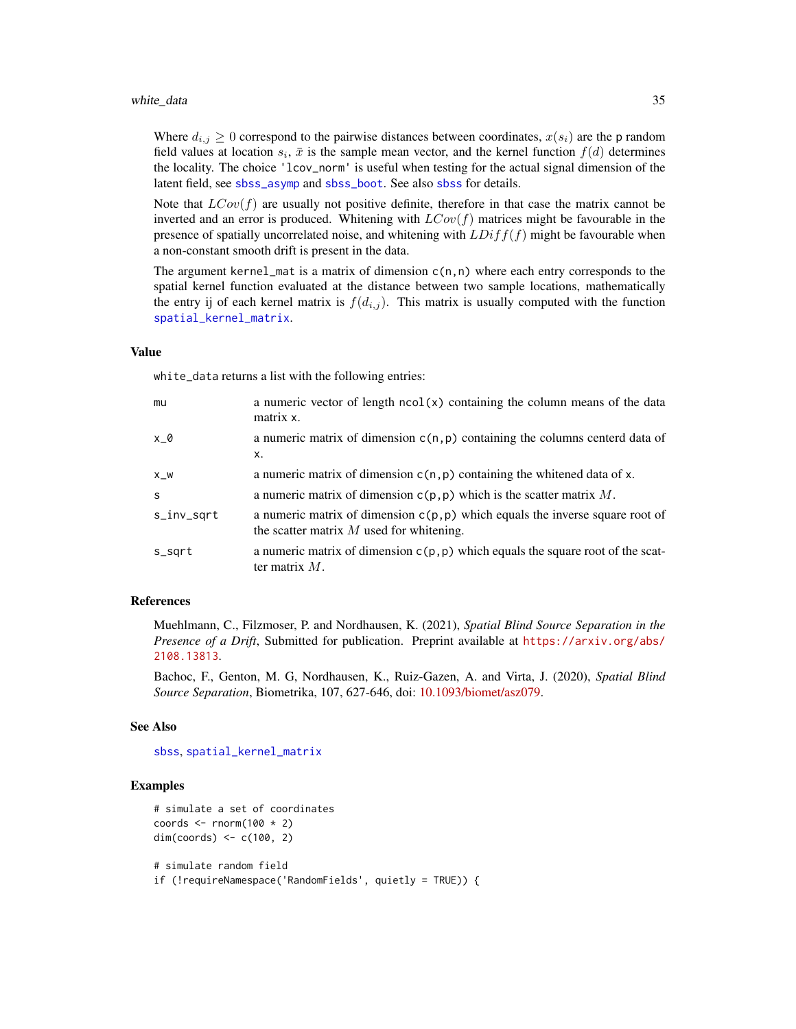<span id="page-34-0"></span>Where  $d_{i,j} \geq 0$  correspond to the pairwise distances between coordinates,  $x(s_i)$  are the p random field values at location  $s_i$ ,  $\bar{x}$  is the sample mean vector, and the kernel function  $f(d)$  determines the locality. The choice 'lcov\_norm' is useful when testing for the actual signal dimension of the latent field, see [sbss\\_asymp](#page-13-1) and [sbss\\_boot](#page-17-1). See also [sbss](#page-9-1) for details.

Note that  $LCov(f)$  are usually not positive definite, therefore in that case the matrix cannot be inverted and an error is produced. Whitening with  $LCov(f)$  matrices might be favourable in the presence of spatially uncorrelated noise, and whitening with  $LDiff(f)$  might be favourable when a non-constant smooth drift is present in the data.

The argument kernel\_mat is a matrix of dimension  $c(n,n)$  where each entry corresponds to the spatial kernel function evaluated at the distance between two sample locations, mathematically the entry ij of each kernel matrix is  $f(d_{i,j})$ . This matrix is usually computed with the function [spatial\\_kernel\\_matrix](#page-30-1).

#### Value

white\_data returns a list with the following entries:

| mu         | a numeric vector of length $ncol(x)$ containing the column means of the data<br>matrix x.                                     |
|------------|-------------------------------------------------------------------------------------------------------------------------------|
| $x_0$      | a numeric matrix of dimension $c(n, p)$ containing the columns centerd data of<br>x.                                          |
| $X_{W}$    | a numeric matrix of dimension $c(n, p)$ containing the whitened data of x.                                                    |
| S          | a numeric matrix of dimension $c(p, p)$ which is the scatter matrix M.                                                        |
| s_inv_sqrt | a numeric matrix of dimension $c(p, p)$ which equals the inverse square root of<br>the scatter matrix $M$ used for whitening. |
| s_sqrt     | a numeric matrix of dimension $c(p, p)$ which equals the square root of the scat-<br>ter matrix $M$ .                         |

## References

Muehlmann, C., Filzmoser, P. and Nordhausen, K. (2021), *Spatial Blind Source Separation in the Presence of a Drift*, Submitted for publication. Preprint available at [https://arxiv.org/abs/](https://arxiv.org/abs/2108.13813) [2108.13813](https://arxiv.org/abs/2108.13813).

Bachoc, F., Genton, M. G, Nordhausen, K., Ruiz-Gazen, A. and Virta, J. (2020), *Spatial Blind Source Separation*, Biometrika, 107, 627-646, doi: [10.1093/biomet/asz079.](https://doi.org/10.1093/biomet/asz079)

## See Also

[sbss](#page-9-1), [spatial\\_kernel\\_matrix](#page-30-1)

```
# simulate a set of coordinates
coords \le rnorm(100 \neq 2)
dim(coords) \leq c(100, 2)
# simulate random field
if (!requireNamespace('RandomFields', quietly = TRUE)) {
```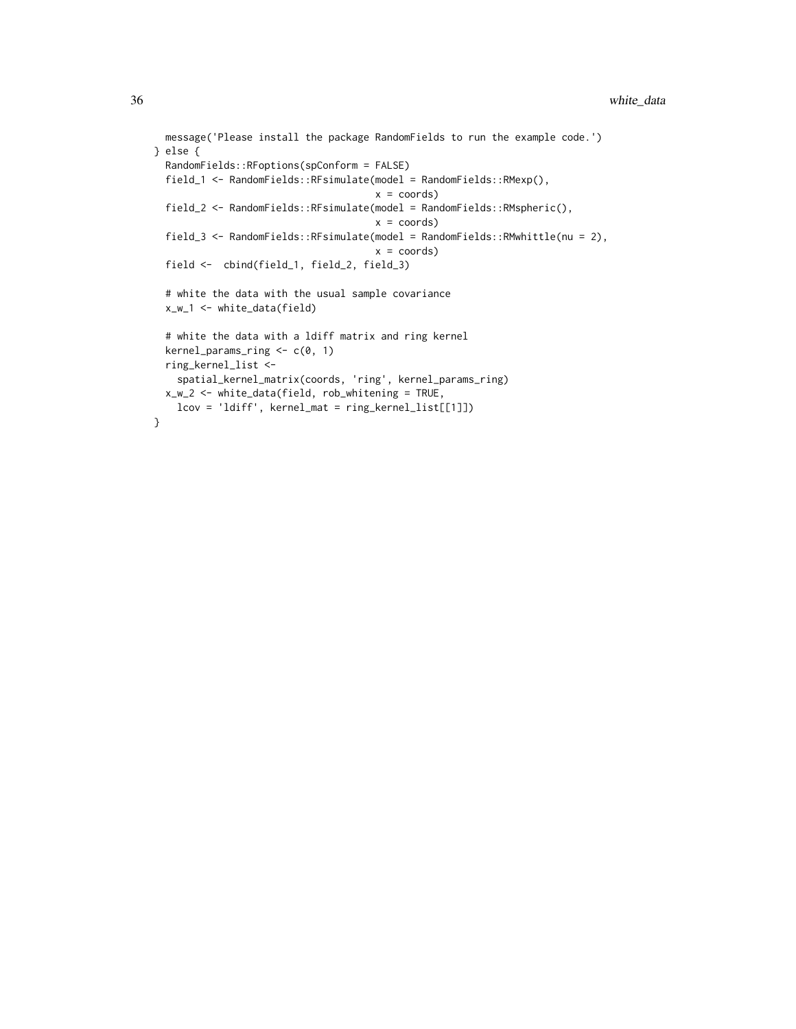```
message('Please install the package RandomFields to run the example code.')
} else {
 RandomFields::RFoptions(spConform = FALSE)
 field_1 <- RandomFields::RFsimulate(model = RandomFields::RMexp(),
                                      x = coords)
 field_2 <- RandomFields::RFsimulate(model = RandomFields::RMspheric(),
                                      x = coords)
 field_3 <- RandomFields::RFsimulate(model = RandomFields::RMwhittle(nu = 2),
                                      x = coords)
 field <- cbind(field_1, field_2, field_3)
 # white the data with the usual sample covariance
 x_w_1 <- white_data(field)
 # white the data with a ldiff matrix and ring kernel
 kernel_params_ring <- c(0, 1)
 ring_kernel_list <-
   spatial_kernel_matrix(coords, 'ring', kernel_params_ring)
 x_w_2 <- white_data(field, rob_whitening = TRUE,
   lcov = 'ldiff', kernel_mat = ring_kernel_list[[1]])
}
```